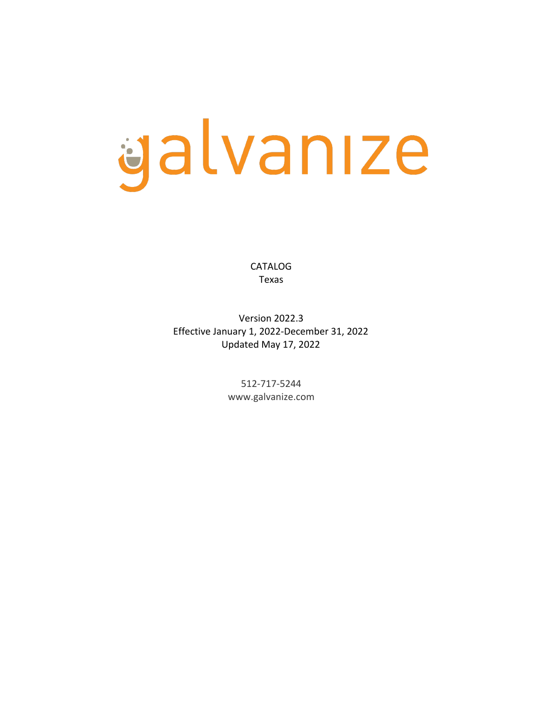# galvanıze

CATALOG Texas

Version 2022.3 Effective January 1, 2022-December 31, 2022 Updated May 17, 2022

> 512-717-5244 www.galvanize.com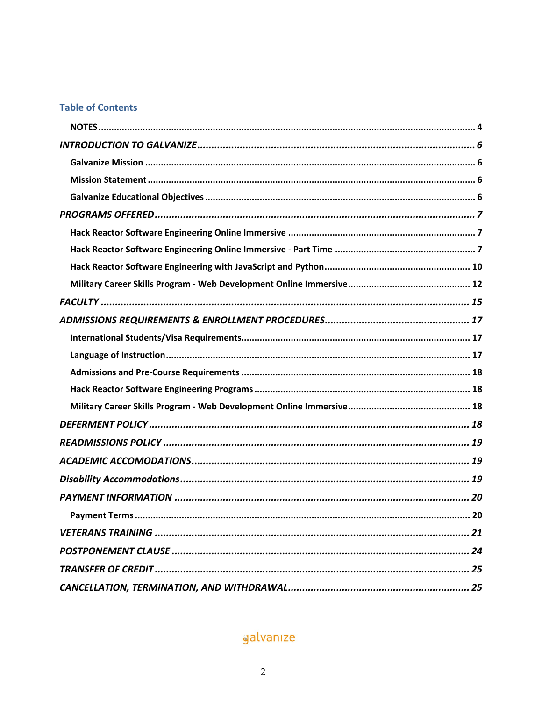## **Table of Contents**

| 20 |
|----|
|    |
|    |
|    |
|    |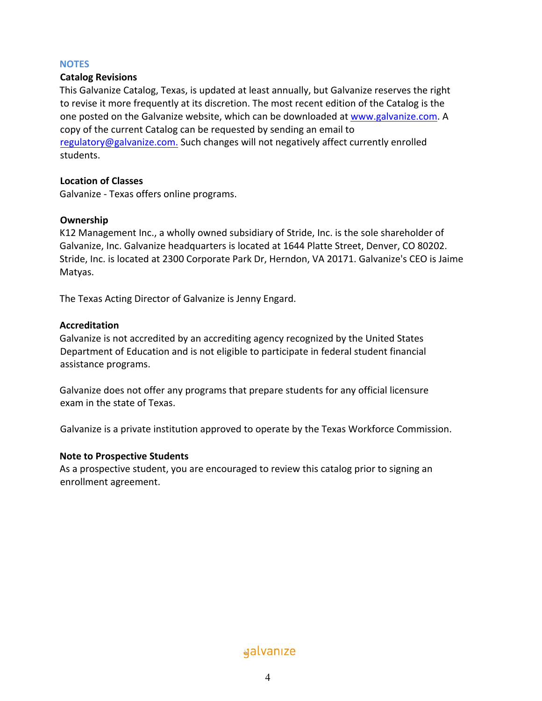#### **NOTES**

## **Catalog Revisions**

This Galvanize Catalog, Texas, is updated at least annually, but Galvanize reserves the right to revise it more frequently at its discretion. The most recent edition of the Catalog is the one posted on the Galvanize website, which can be downloaded at www.galvanize.com. A copy of the current Catalog can be requested by sending an email to regulatory@galvanize.com. Such changes will not negatively affect currently enrolled students.

## **Location of Classes**

Galvanize - Texas offers online programs.

#### **Ownership**

K12 Management Inc., a wholly owned subsidiary of Stride, Inc. is the sole shareholder of Galvanize, Inc. Galvanize headquarters is located at 1644 Platte Street, Denver, CO 80202. Stride, Inc. is located at 2300 Corporate Park Dr, Herndon, VA 20171. Galvanize's CEO is Jaime Matyas.

The Texas Acting Director of Galvanize is Jenny Engard.

#### **Accreditation**

Galvanize is not accredited by an accrediting agency recognized by the United States Department of Education and is not eligible to participate in federal student financial assistance programs.

Galvanize does not offer any programs that prepare students for any official licensure exam in the state of Texas.

Galvanize is a private institution approved to operate by the Texas Workforce Commission.

## **Note to Prospective Students**

As a prospective student, you are encouraged to review this catalog prior to signing an enrollment agreement.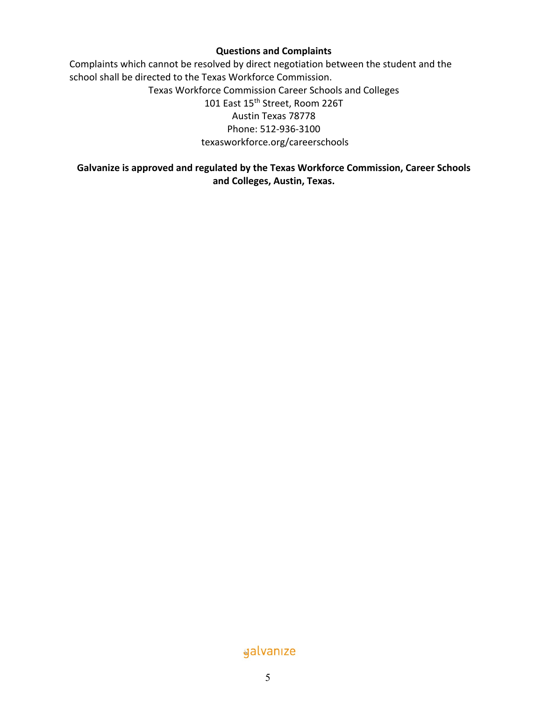## **Questions and Complaints**

Complaints which cannot be resolved by direct negotiation between the student and the school shall be directed to the Texas Workforce Commission. Texas Workforce Commission Career Schools and Colleges 101 East 15<sup>th</sup> Street, Room 226T Austin Texas 78778 Phone: 512-936-3100 texasworkforce.org/careerschools

## **Galvanize is approved and regulated by the Texas Workforce Commission, Career Schools and Colleges, Austin, Texas.**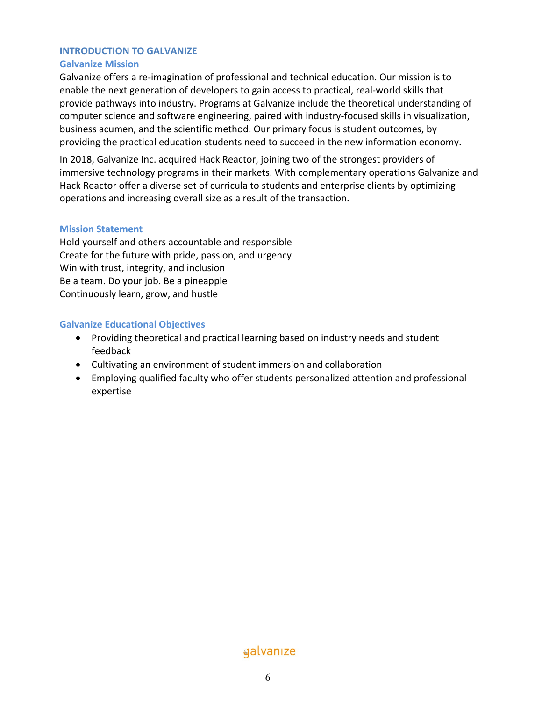## **INTRODUCTION TO GALVANIZE**

## **Galvanize Mission**

Galvanize offers a re-imagination of professional and technical education. Our mission is to enable the next generation of developers to gain access to practical, real-world skills that provide pathways into industry. Programs at Galvanize include the theoretical understanding of computer science and software engineering, paired with industry-focused skills in visualization, business acumen, and the scientific method. Our primary focus is student outcomes, by providing the practical education students need to succeed in the new information economy.

In 2018, Galvanize Inc. acquired Hack Reactor, joining two of the strongest providers of immersive technology programs in their markets. With complementary operations Galvanize and Hack Reactor offer a diverse set of curricula to students and enterprise clients by optimizing operations and increasing overall size as a result of the transaction.

## **Mission Statement**

Hold yourself and others accountable and responsible Create for the future with pride, passion, and urgency Win with trust, integrity, and inclusion Be a team. Do your job. Be a pineapple Continuously learn, grow, and hustle

## **Galvanize Educational Objectives**

- Providing theoretical and practical learning based on industry needs and student feedback
- Cultivating an environment of student immersion and collaboration
- Employing qualified faculty who offer students personalized attention and professional expertise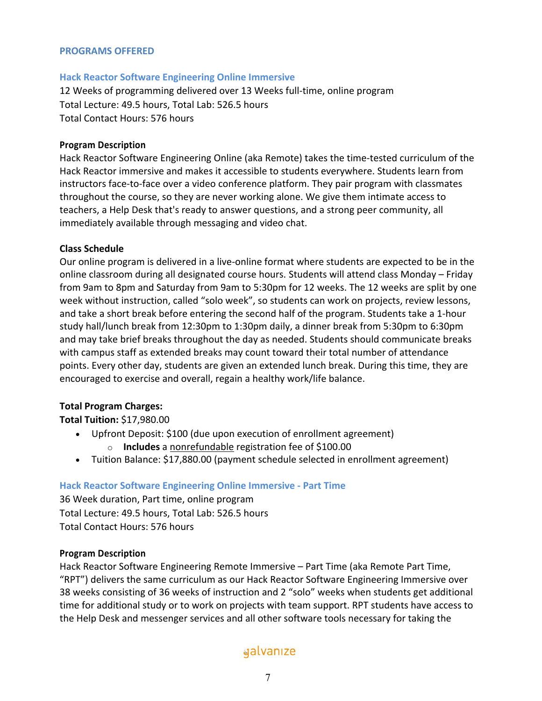#### **PROGRAMS OFFERED**

#### **Hack Reactor Software Engineering Online Immersive**

12 Weeks of programming delivered over 13 Weeks full-time, online program Total Lecture: 49.5 hours, Total Lab: 526.5 hours Total Contact Hours: 576 hours

#### **Program Description**

Hack Reactor Software Engineering Online (aka Remote) takes the time-tested curriculum of the Hack Reactor immersive and makes it accessible to students everywhere. Students learn from instructors face-to-face over a video conference platform. They pair program with classmates throughout the course, so they are never working alone. We give them intimate access to teachers, a Help Desk that's ready to answer questions, and a strong peer community, all immediately available through messaging and video chat.

#### **Class Schedule**

Our online program is delivered in a live-online format where students are expected to be in the online classroom during all designated course hours. Students will attend class Monday – Friday from 9am to 8pm and Saturday from 9am to 5:30pm for 12 weeks. The 12 weeks are split by one week without instruction, called "solo week", so students can work on projects, review lessons, and take a short break before entering the second half of the program. Students take a 1-hour study hall/lunch break from 12:30pm to 1:30pm daily, a dinner break from 5:30pm to 6:30pm and may take brief breaks throughout the day as needed. Students should communicate breaks with campus staff as extended breaks may count toward their total number of attendance points. Every other day, students are given an extended lunch break. During this time, they are encouraged to exercise and overall, regain a healthy work/life balance.

## **Total Program Charges:**

**Total Tuition:** \$17,980.00

- Upfront Deposit: \$100 (due upon execution of enrollment agreement)
	- o **Includes** a nonrefundable registration fee of \$100.00
- Tuition Balance: \$17,880.00 (payment schedule selected in enrollment agreement)

## **Hack Reactor Software Engineering Online Immersive - Part Time**

36 Week duration, Part time, online program Total Lecture: 49.5 hours, Total Lab: 526.5 hours Total Contact Hours: 576 hours

#### **Program Description**

Hack Reactor Software Engineering Remote Immersive – Part Time (aka Remote Part Time, "RPT") delivers the same curriculum as our Hack Reactor Software Engineering Immersive over 38 weeks consisting of 36 weeks of instruction and 2 "solo" weeks when students get additional time for additional study or to work on projects with team support. RPT students have access to the Help Desk and messenger services and all other software tools necessary for taking the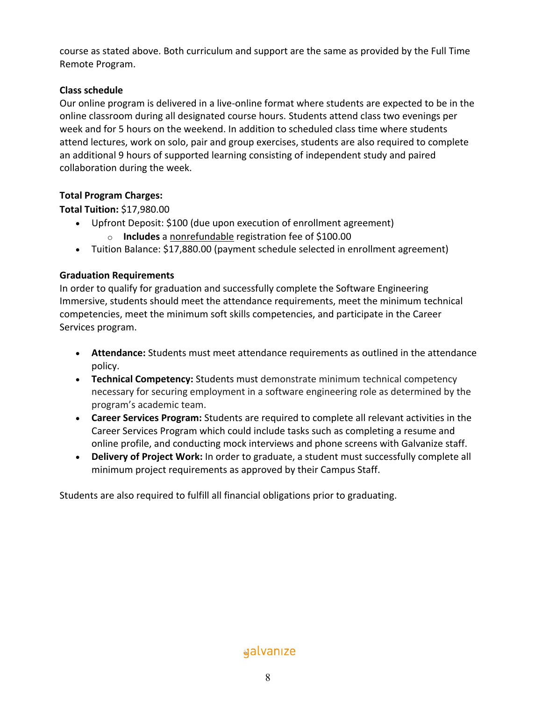course as stated above. Both curriculum and support are the same as provided by the Full Time Remote Program.

## **Class schedule**

Our online program is delivered in a live-online format where students are expected to be in the online classroom during all designated course hours. Students attend class two evenings per week and for 5 hours on the weekend. In addition to scheduled class time where students attend lectures, work on solo, pair and group exercises, students are also required to complete an additional 9 hours of supported learning consisting of independent study and paired collaboration during the week.

## **Total Program Charges:**

**Total Tuition:** \$17,980.00

- Upfront Deposit: \$100 (due upon execution of enrollment agreement)
	- o **Includes** a nonrefundable registration fee of \$100.00
- Tuition Balance: \$17,880.00 (payment schedule selected in enrollment agreement)

## **Graduation Requirements**

In order to qualify for graduation and successfully complete the Software Engineering Immersive, students should meet the attendance requirements, meet the minimum technical competencies, meet the minimum soft skills competencies, and participate in the Career Services program.

- **Attendance:** Students must meet attendance requirements as outlined in the attendance policy.
- **Technical Competency:** Students must demonstrate minimum technical competency necessary for securing employment in a software engineering role as determined by the program's academic team.
- **Career Services Program:** Students are required to complete all relevant activities in the Career Services Program which could include tasks such as completing a resume and online profile, and conducting mock interviews and phone screens with Galvanize staff.
- **Delivery of Project Work:** In order to graduate, a student must successfully complete all minimum project requirements as approved by their Campus Staff.

Students are also required to fulfill all financial obligations prior to graduating.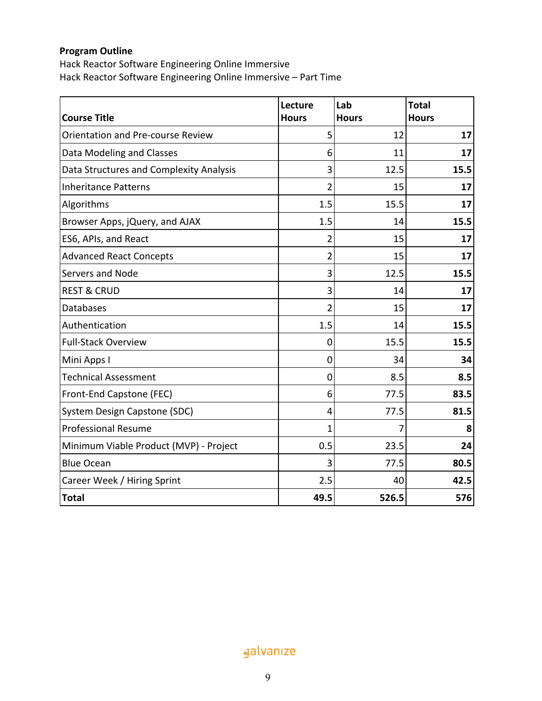## **Program Outline**

Hack Reactor Software Engineering Online Immersive Hack Reactor Software Engineering Online Immersive – Part Time

|                                         | Lecture        | Lab          | <b>Total</b> |
|-----------------------------------------|----------------|--------------|--------------|
| <b>Course Title</b>                     | <b>Hours</b>   | <b>Hours</b> | <b>Hours</b> |
| Orientation and Pre-course Review       | 5              | 12           | 17           |
| Data Modeling and Classes               | 6              | 11           | 17           |
| Data Structures and Complexity Analysis | 3              | 12.5         | 15.5         |
| <b>Inheritance Patterns</b>             | $\overline{2}$ | 15           | 17           |
| Algorithms                              | 1.5            | 15.5         | 17           |
| Browser Apps, jQuery, and AJAX          | 1.5            | 14           | 15.5         |
| ES6, APIs, and React                    | $\overline{2}$ | 15           | 17           |
| <b>Advanced React Concepts</b>          | 2              | 15           | 17           |
| Servers and Node                        | 3              | 12.5         | 15.5         |
| <b>REST &amp; CRUD</b>                  | 3              | 14           | 17           |
| <b>Databases</b>                        | $\overline{2}$ | 15           | 17           |
| Authentication                          | 1.5            | 14           | 15.5         |
| <b>Full-Stack Overview</b>              | 0              | 15.5         | 15.5         |
| Mini Apps I                             | 0              | 34           | 34           |
| <b>Technical Assessment</b>             | 0              | 8.5          | 8.5          |
| Front-End Capstone (FEC)                | 6              | 77.5         | 83.5         |
| System Design Capstone (SDC)            | $\overline{4}$ | 77.5         | 81.5         |
| <b>Professional Resume</b>              | 1              | 7            | 8            |
| Minimum Viable Product (MVP) - Project  | 0.5            | 23.5         | 24           |
| <b>Blue Ocean</b>                       | 3              | 77.5         | 80.5         |
| Career Week / Hiring Sprint             | 2.5            | 40           | 42.5         |
| <b>Total</b>                            | 49.5           | 526.5        | 576          |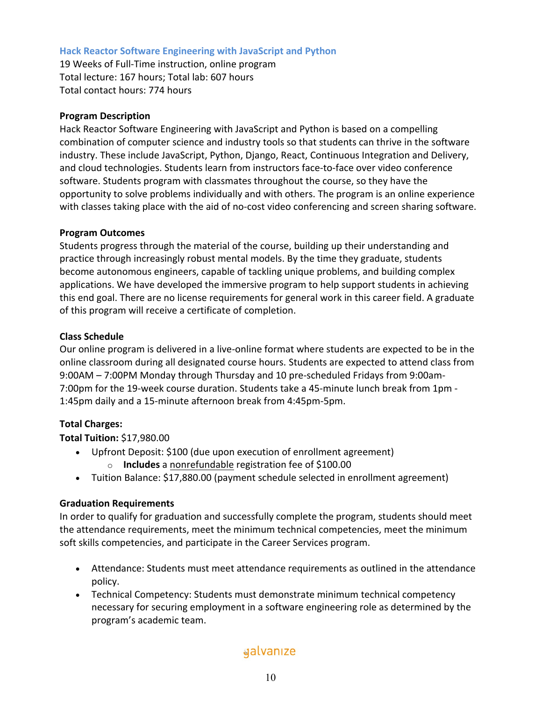## **Hack Reactor Software Engineering with JavaScript and Python**

19 Weeks of Full-Time instruction, online program Total lecture: 167 hours; Total lab: 607 hours Total contact hours: 774 hours

## **Program Description**

Hack Reactor Software Engineering with JavaScript and Python is based on a compelling combination of computer science and industry tools so that students can thrive in the software industry. These include JavaScript, Python, Django, React, Continuous Integration and Delivery, and cloud technologies. Students learn from instructors face-to-face over video conference software. Students program with classmates throughout the course, so they have the opportunity to solve problems individually and with others. The program is an online experience with classes taking place with the aid of no-cost video conferencing and screen sharing software.

## **Program Outcomes**

Students progress through the material of the course, building up their understanding and practice through increasingly robust mental models. By the time they graduate, students become autonomous engineers, capable of tackling unique problems, and building complex applications. We have developed the immersive program to help support students in achieving this end goal. There are no license requirements for general work in this career field. A graduate of this program will receive a certificate of completion.

## **Class Schedule**

Our online program is delivered in a live-online format where students are expected to be in the online classroom during all designated course hours. Students are expected to attend class from 9:00AM – 7:00PM Monday through Thursday and 10 pre-scheduled Fridays from 9:00am-7:00pm for the 19-week course duration. Students take a 45-minute lunch break from 1pm - 1:45pm daily and a 15-minute afternoon break from 4:45pm-5pm.

## **Total Charges:**

**Total Tuition:** \$17,980.00

- Upfront Deposit: \$100 (due upon execution of enrollment agreement) o **Includes** a nonrefundable registration fee of \$100.00
- Tuition Balance: \$17,880.00 (payment schedule selected in enrollment agreement)

## **Graduation Requirements**

In order to qualify for graduation and successfully complete the program, students should meet the attendance requirements, meet the minimum technical competencies, meet the minimum soft skills competencies, and participate in the Career Services program.

- Attendance: Students must meet attendance requirements as outlined in the attendance policy.
- Technical Competency: Students must demonstrate minimum technical competency necessary for securing employment in a software engineering role as determined by the program's academic team.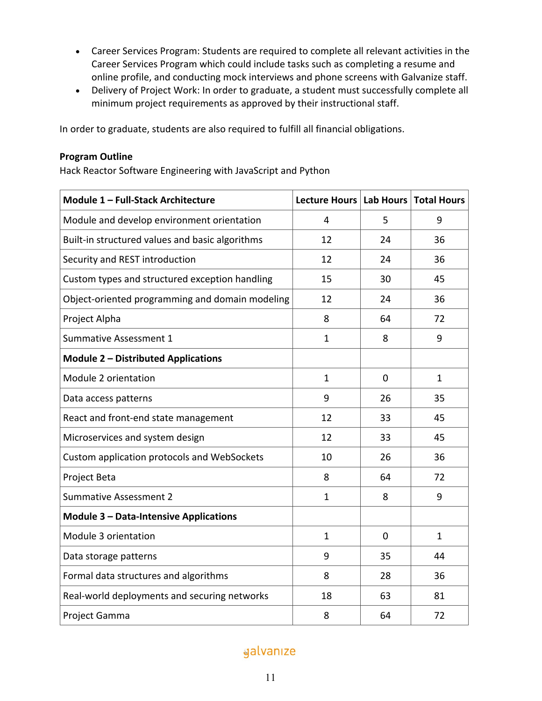- Career Services Program: Students are required to complete all relevant activities in the Career Services Program which could include tasks such as completing a resume and online profile, and conducting mock interviews and phone screens with Galvanize staff.
- Delivery of Project Work: In order to graduate, a student must successfully complete all minimum project requirements as approved by their instructional staff.

In order to graduate, students are also required to fulfill all financial obligations.

## **Program Outline**

Hack Reactor Software Engineering with JavaScript and Python

| Module 1 - Full-Stack Architecture              | Lecture Hours   Lab Hours |    | <b>Total Hours</b> |
|-------------------------------------------------|---------------------------|----|--------------------|
| Module and develop environment orientation      | 4                         | 5  | 9                  |
| Built-in structured values and basic algorithms | 12                        | 24 | 36                 |
| Security and REST introduction                  | 12                        | 24 | 36                 |
| Custom types and structured exception handling  | 15                        | 30 | 45                 |
| Object-oriented programming and domain modeling | 12                        | 24 | 36                 |
| Project Alpha                                   | 8                         | 64 | 72                 |
| Summative Assessment 1                          | $\mathbf{1}$              | 8  | 9                  |
| <b>Module 2 - Distributed Applications</b>      |                           |    |                    |
| Module 2 orientation                            | $\mathbf{1}$              | 0  | $\mathbf{1}$       |
| Data access patterns                            | 9                         | 26 | 35                 |
| React and front-end state management            | 12                        | 33 | 45                 |
| Microservices and system design                 | 12                        | 33 | 45                 |
| Custom application protocols and WebSockets     | 10                        | 26 | 36                 |
| Project Beta                                    | 8                         | 64 | 72                 |
| <b>Summative Assessment 2</b>                   | 1                         | 8  | 9                  |
| <b>Module 3 - Data-Intensive Applications</b>   |                           |    |                    |
| Module 3 orientation                            | $\mathbf{1}$              | 0  | $\mathbf{1}$       |
| Data storage patterns                           | 9                         | 35 | 44                 |
| Formal data structures and algorithms           | 8                         | 28 | 36                 |
| Real-world deployments and securing networks    | 18                        | 63 | 81                 |
| Project Gamma                                   | 8                         | 64 | 72                 |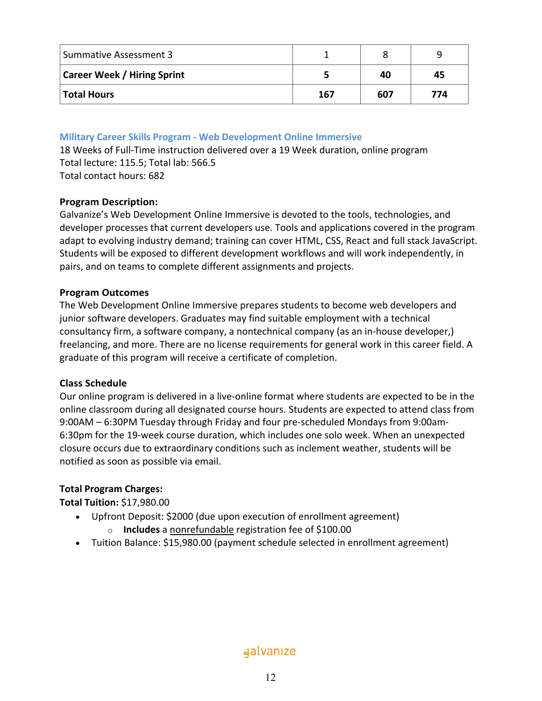| Summative Assessment 3             |     |     | q   |
|------------------------------------|-----|-----|-----|
| <b>Career Week / Hiring Sprint</b> |     | 40  | 45  |
| Total Hours                        | 167 | 607 | 774 |

**Military Career Skills Program - Web Development Online Immersive** 

18 Weeks of Full-Time instruction delivered over a 19 Week duration, online program Total lecture: 115.5; Total lab: 566.5 Total contact hours: 682

## **Program Description:**

Galvanize's Web Development Online Immersive is devoted to the tools, technologies, and developer processes that current developers use. Tools and applications covered in the program adapt to evolving industry demand; training can cover HTML, CSS, React and full stack JavaScript. Students will be exposed to different development workflows and will work independently, in pairs, and on teams to complete different assignments and projects.

#### **Program Outcomes**

The Web Development Online Immersive prepares students to become web developers and junior software developers. Graduates may find suitable employment with a technical consultancy firm, a software company, a nontechnical company (as an in-house developer,) freelancing, and more. There are no license requirements for general work in this career field. A graduate of this program will receive a certificate of completion.

## **Class Schedule**

Our online program is delivered in a live-online format where students are expected to be in the online classroom during all designated course hours. Students are expected to attend class from 9:00AM – 6:30PM Tuesday through Friday and four pre-scheduled Mondays from 9:00am-6:30pm for the 19-week course duration, which includes one solo week. When an unexpected closure occurs due to extraordinary conditions such as inclement weather, students will be notified as soon as possible via email.

## **Total Program Charges:**

**Total Tuition:** \$17,980.00

- Upfront Deposit: \$2000 (due upon execution of enrollment agreement)
	- o **Includes** a nonrefundable registration fee of \$100.00
- Tuition Balance: \$15,980.00 (payment schedule selected in enrollment agreement)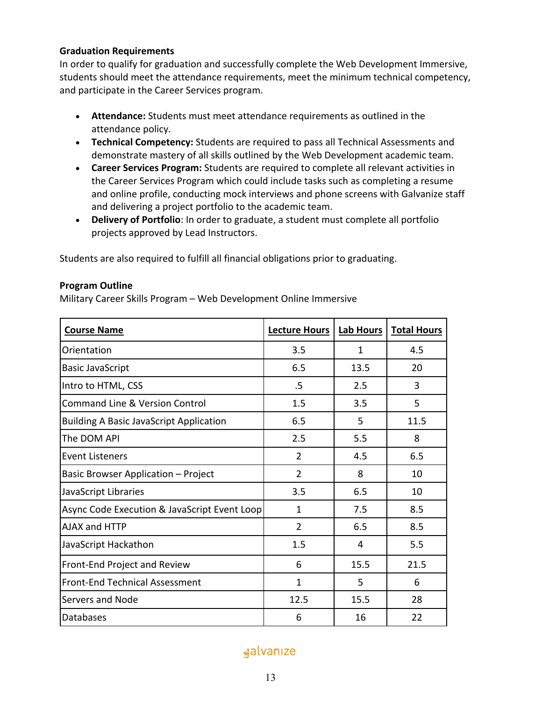## **Graduation Requirements**

In order to qualify for graduation and successfully complete the Web Development Immersive, students should meet the attendance requirements, meet the minimum technical competency, and participate in the Career Services program.

- **Attendance:** Students must meet attendance requirements as outlined in the attendance policy.
- **Technical Competency:** Students are required to pass all Technical Assessments and demonstrate mastery of all skills outlined by the Web Development academic team.
- **Career Services Program:** Students are required to complete all relevant activities in the Career Services Program which could include tasks such as completing a resume and online profile, conducting mock interviews and phone screens with Galvanize staff and delivering a project portfolio to the academic team.
- **Delivery of Portfolio**: In order to graduate, a student must complete all portfolio projects approved by Lead Instructors.

Students are also required to fulfill all financial obligations prior to graduating.

## **Program Outline**

Military Career Skills Program – Web Development Online Immersive

| <b>Course Name</b>                             | <b>Lecture Hours</b> | Lab Hours | <b>Total Hours</b> |
|------------------------------------------------|----------------------|-----------|--------------------|
| Orientation                                    | 3.5                  | 1         | 4.5                |
| <b>Basic JavaScript</b>                        | 6.5                  | 13.5      | 20                 |
| Intro to HTML, CSS                             | .5                   | 2.5       | 3                  |
| <b>Command Line &amp; Version Control</b>      | 1.5                  | 3.5       | 5                  |
| <b>Building A Basic JavaScript Application</b> | 6.5                  | 5         | 11.5               |
| The DOM API                                    | 2.5                  | 5.5       | 8                  |
| <b>Event Listeners</b>                         | 2                    | 4.5       | 6.5                |
| Basic Browser Application - Project            | $\overline{2}$       | 8         | 10                 |
| JavaScript Libraries                           | 3.5                  | 6.5       | 10                 |
| Async Code Execution & JavaScript Event Loop   | 1                    | 7.5       | 8.5                |
| AJAX and HTTP                                  | $\overline{2}$       | 6.5       | 8.5                |
| JavaScript Hackathon                           | 1.5                  | 4         | 5.5                |
| Front-End Project and Review                   | 6                    | 15.5      | 21.5               |
| <b>Front-End Technical Assessment</b>          | $\mathbf{1}$         | 5         | 6                  |
| <b>Servers and Node</b>                        | 12.5                 | 15.5      | 28                 |
| Databases                                      | 6                    | 16        | 22                 |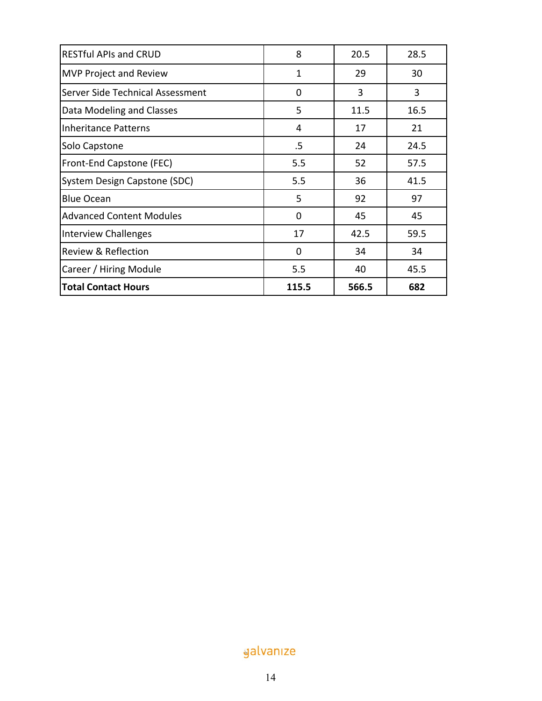| <b>RESTful APIs and CRUD</b>     | 8     | 20.5  | 28.5 |
|----------------------------------|-------|-------|------|
| <b>MVP Project and Review</b>    | 1     | 29    | 30   |
| Server Side Technical Assessment | 0     | 3     | 3    |
| Data Modeling and Classes        | 5     | 11.5  | 16.5 |
| Inheritance Patterns             | 4     | 17    | 21   |
| Solo Capstone                    | .5    | 24    | 24.5 |
| <b>Front-End Capstone (FEC)</b>  | 5.5   | 52    | 57.5 |
| System Design Capstone (SDC)     | 5.5   | 36    | 41.5 |
| <b>Blue Ocean</b>                | 5     | 92    | 97   |
| <b>Advanced Content Modules</b>  | 0     | 45    | 45   |
| Interview Challenges             | 17    | 42.5  | 59.5 |
| Review & Reflection              | 0     | 34    | 34   |
| Career / Hiring Module           | 5.5   | 40    | 45.5 |
| <b>Total Contact Hours</b>       | 115.5 | 566.5 | 682  |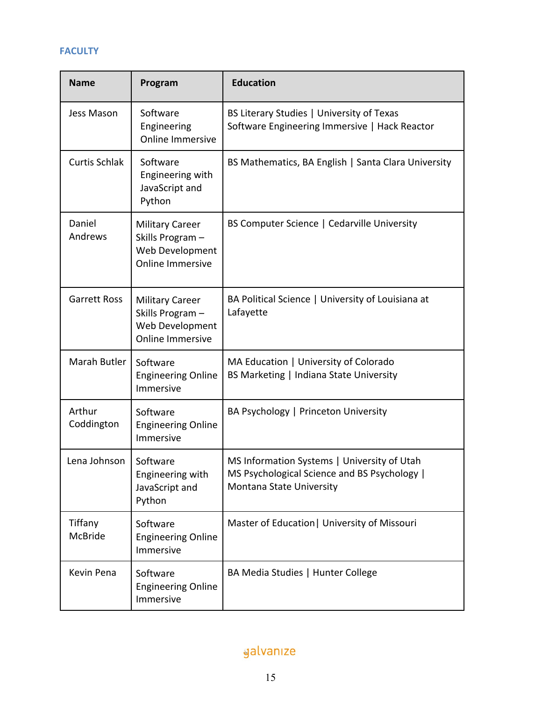## **FACULTY**

| <b>Name</b>          | Program                                                                                 | <b>Education</b>                                                                                                        |
|----------------------|-----------------------------------------------------------------------------------------|-------------------------------------------------------------------------------------------------------------------------|
| Jess Mason           | Software<br>Engineering<br><b>Online Immersive</b>                                      | BS Literary Studies   University of Texas<br>Software Engineering Immersive   Hack Reactor                              |
| <b>Curtis Schlak</b> | Software<br>Engineering with<br>JavaScript and<br>Python                                | BS Mathematics, BA English   Santa Clara University                                                                     |
| Daniel<br>Andrews    | <b>Military Career</b><br>Skills Program-<br>Web Development<br><b>Online Immersive</b> | BS Computer Science   Cedarville University                                                                             |
| <b>Garrett Ross</b>  | <b>Military Career</b><br>Skills Program-<br>Web Development<br><b>Online Immersive</b> | BA Political Science   University of Louisiana at<br>Lafayette                                                          |
| Marah Butler         | Software<br><b>Engineering Online</b><br>Immersive                                      | MA Education   University of Colorado<br>BS Marketing   Indiana State University                                        |
| Arthur<br>Coddington | Software<br><b>Engineering Online</b><br>Immersive                                      | BA Psychology   Princeton University                                                                                    |
| Lena Johnson         | Software<br>Engineering with<br>JavaScript and<br>Python                                | MS Information Systems   University of Utah<br>MS Psychological Science and BS Psychology  <br>Montana State University |
| Tiffany<br>McBride   | Software<br><b>Engineering Online</b><br>Immersive                                      | Master of Education   University of Missouri                                                                            |
| Kevin Pena           | Software<br><b>Engineering Online</b><br>Immersive                                      | BA Media Studies   Hunter College                                                                                       |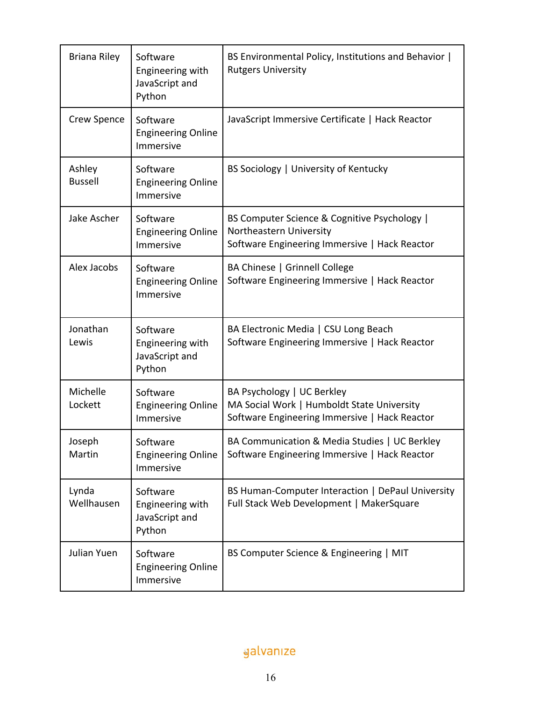| <b>Briana Riley</b>      | Software<br>Engineering with<br>JavaScript and<br>Python | BS Environmental Policy, Institutions and Behavior  <br><b>Rutgers University</b>                                         |
|--------------------------|----------------------------------------------------------|---------------------------------------------------------------------------------------------------------------------------|
| Crew Spence              | Software<br><b>Engineering Online</b><br>Immersive       | JavaScript Immersive Certificate   Hack Reactor                                                                           |
| Ashley<br><b>Bussell</b> | Software<br><b>Engineering Online</b><br>Immersive       | BS Sociology   University of Kentucky                                                                                     |
| Jake Ascher              | Software<br><b>Engineering Online</b><br>Immersive       | BS Computer Science & Cognitive Psychology  <br>Northeastern University<br>Software Engineering Immersive   Hack Reactor  |
| Alex Jacobs              | Software<br><b>Engineering Online</b><br>Immersive       | BA Chinese   Grinnell College<br>Software Engineering Immersive   Hack Reactor                                            |
| Jonathan<br>Lewis        | Software<br>Engineering with<br>JavaScript and<br>Python | BA Electronic Media   CSU Long Beach<br>Software Engineering Immersive   Hack Reactor                                     |
| Michelle<br>Lockett      | Software<br><b>Engineering Online</b><br>Immersive       | BA Psychology   UC Berkley<br>MA Social Work   Humboldt State University<br>Software Engineering Immersive   Hack Reactor |
| Joseph<br>Martin         | Software<br><b>Engineering Online</b><br>Immersive       | BA Communication & Media Studies   UC Berkley<br>Software Engineering Immersive   Hack Reactor                            |
| Lynda<br>Wellhausen      | Software<br>Engineering with<br>JavaScript and<br>Python | BS Human-Computer Interaction   DePaul University<br>Full Stack Web Development   MakerSquare                             |
| Julian Yuen              | Software<br><b>Engineering Online</b><br>Immersive       | BS Computer Science & Engineering   MIT                                                                                   |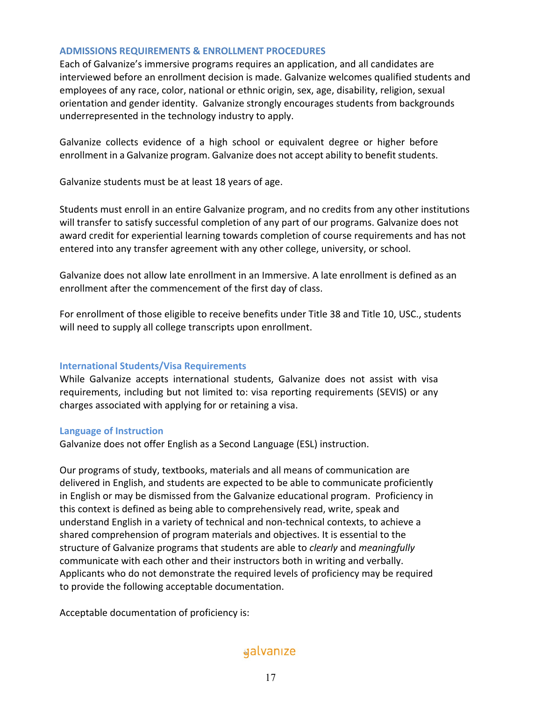#### **ADMISSIONS REQUIREMENTS & ENROLLMENT PROCEDURES**

Each of Galvanize's immersive programs requires an application, and all candidates are interviewed before an enrollment decision is made. Galvanize welcomes qualified students and employees of any race, color, national or ethnic origin, sex, age, disability, religion, sexual orientation and gender identity. Galvanize strongly encourages students from backgrounds underrepresented in the technology industry to apply.

Galvanize collects evidence of a high school or equivalent degree or higher before enrollment in a Galvanize program. Galvanize does not accept ability to benefit students.

Galvanize students must be at least 18 years of age.

Students must enroll in an entire Galvanize program, and no credits from any other institutions will transfer to satisfy successful completion of any part of our programs. Galvanize does not award credit for experiential learning towards completion of course requirements and has not entered into any transfer agreement with any other college, university, or school.

Galvanize does not allow late enrollment in an Immersive. A late enrollment is defined as an enrollment after the commencement of the first day of class.

For enrollment of those eligible to receive benefits under Title 38 and Title 10, USC., students will need to supply all college transcripts upon enrollment.

## **International Students/Visa Requirements**

While Galvanize accepts international students, Galvanize does not assist with visa requirements, including but not limited to: visa reporting requirements (SEVIS) or any charges associated with applying for or retaining a visa.

#### **Language of Instruction**

Galvanize does not offer English as a Second Language (ESL) instruction.

Our programs of study, textbooks, materials and all means of communication are delivered in English, and students are expected to be able to communicate proficiently in English or may be dismissed from the Galvanize educational program. Proficiency in this context is defined as being able to comprehensively read, write, speak and understand English in a variety of technical and non-technical contexts, to achieve a shared comprehension of program materials and objectives. It is essential to the structure of Galvanize programs that students are able to *clearly* and *meaningfully* communicate with each other and their instructors both in writing and verbally. Applicants who do not demonstrate the required levels of proficiency may be required to provide the following acceptable documentation.

Acceptable documentation of proficiency is: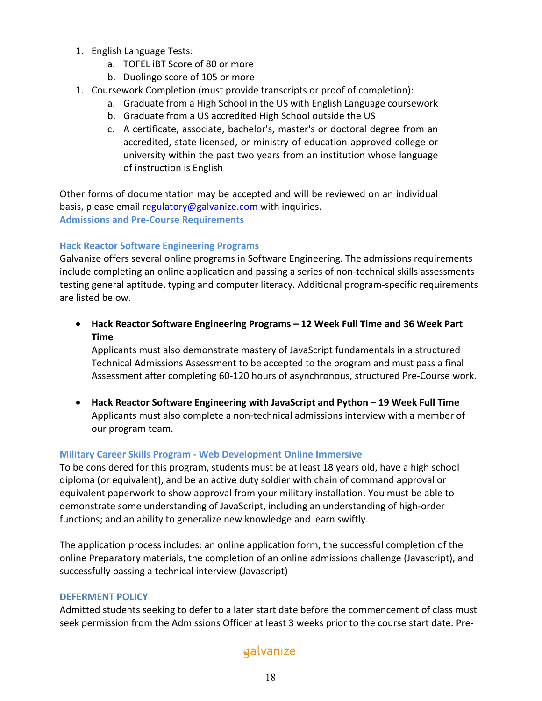- 1. English Language Tests:
	- a. TOFEL iBT Score of 80 or more
	- b. Duolingo score of 105 or more
- 1. Coursework Completion (must provide transcripts or proof of completion):
	- a. Graduate from a High School in the US with English Language coursework
	- b. Graduate from a US accredited High School outside the US
	- c. A certificate, associate, bachelor's, master's or doctoral degree from an accredited, state licensed, or ministry of education approved college or university within the past two years from an institution whose language of instruction is English

Other forms of documentation may be accepted and will be reviewed on an individual basis, please email regulatory@galvanize.com with inquiries. **Admissions and Pre-Course Requirements**

## **Hack Reactor Software Engineering Programs**

Galvanize offers several online programs in Software Engineering. The admissions requirements include completing an online application and passing a series of non-technical skills assessments testing general aptitude, typing and computer literacy. Additional program-specific requirements are listed below.

• **Hack Reactor Software Engineering Programs – 12 Week Full Time and 36 Week Part Time**

Applicants must also demonstrate mastery of JavaScript fundamentals in a structured Technical Admissions Assessment to be accepted to the program and must pass a final Assessment after completing 60-120 hours of asynchronous, structured Pre-Course work.

• **Hack Reactor Software Engineering with JavaScript and Python – 19 Week Full Time** Applicants must also complete a non-technical admissions interview with a member of our program team.

## **Military Career Skills Program - Web Development Online Immersive**

To be considered for this program, students must be at least 18 years old, have a high school diploma (or equivalent), and be an active duty soldier with chain of command approval or equivalent paperwork to show approval from your military installation. You must be able to demonstrate some understanding of JavaScript, including an understanding of high-order functions; and an ability to generalize new knowledge and learn swiftly.

The application process includes: an online application form, the successful completion of the online Preparatory materials, the completion of an online admissions challenge (Javascript), and successfully passing a technical interview (Javascript)

## **DEFERMENT POLICY**

Admitted students seeking to defer to a later start date before the commencement of class must seek permission from the Admissions Officer at least 3 weeks prior to the course start date. Pre-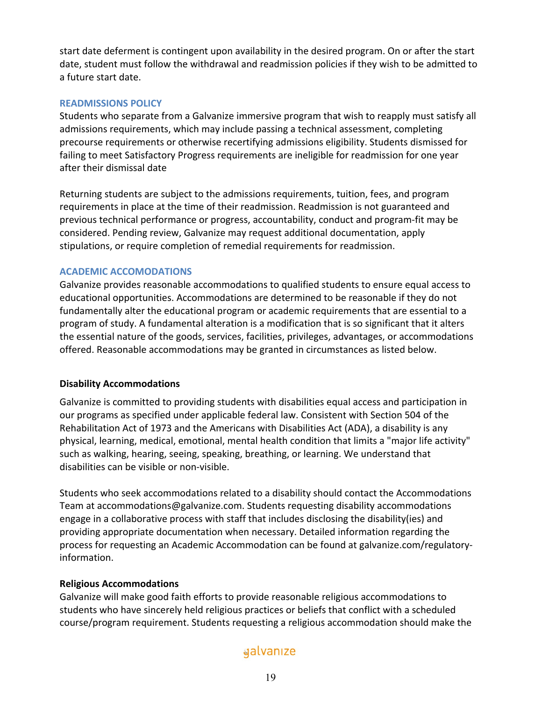start date deferment is contingent upon availability in the desired program. On or after the start date, student must follow the withdrawal and readmission policies if they wish to be admitted to a future start date.

## **READMISSIONS POLICY**

Students who separate from a Galvanize immersive program that wish to reapply must satisfy all admissions requirements, which may include passing a technical assessment, completing precourse requirements or otherwise recertifying admissions eligibility. Students dismissed for failing to meet Satisfactory Progress requirements are ineligible for readmission for one year after their dismissal date

Returning students are subject to the admissions requirements, tuition, fees, and program requirements in place at the time of their readmission. Readmission is not guaranteed and previous technical performance or progress, accountability, conduct and program-fit may be considered. Pending review, Galvanize may request additional documentation, apply stipulations, or require completion of remedial requirements for readmission.

## **ACADEMIC ACCOMODATIONS**

Galvanize provides reasonable accommodations to qualified students to ensure equal access to educational opportunities. Accommodations are determined to be reasonable if they do not fundamentally alter the educational program or academic requirements that are essential to a program of study. A fundamental alteration is a modification that is so significant that it alters the essential nature of the goods, services, facilities, privileges, advantages, or accommodations offered. Reasonable accommodations may be granted in circumstances as listed below.

## **Disability Accommodations**

Galvanize is committed to providing students with disabilities equal access and participation in our programs as specified under applicable federal law. Consistent with Section 504 of the Rehabilitation Act of 1973 and the Americans with Disabilities Act (ADA), a disability is any physical, learning, medical, emotional, mental health condition that limits a "major life activity" such as walking, hearing, seeing, speaking, breathing, or learning. We understand that disabilities can be visible or non-visible.

Students who seek accommodations related to a disability should contact the Accommodations Team at accommodations@galvanize.com. Students requesting disability accommodations engage in a collaborative process with staff that includes disclosing the disability(ies) and providing appropriate documentation when necessary. Detailed information regarding the process for requesting an Academic Accommodation can be found at galvanize.com/regulatoryinformation.

## **Religious Accommodations**

Galvanize will make good faith efforts to provide reasonable religious accommodations to students who have sincerely held religious practices or beliefs that conflict with a scheduled course/program requirement. Students requesting a religious accommodation should make the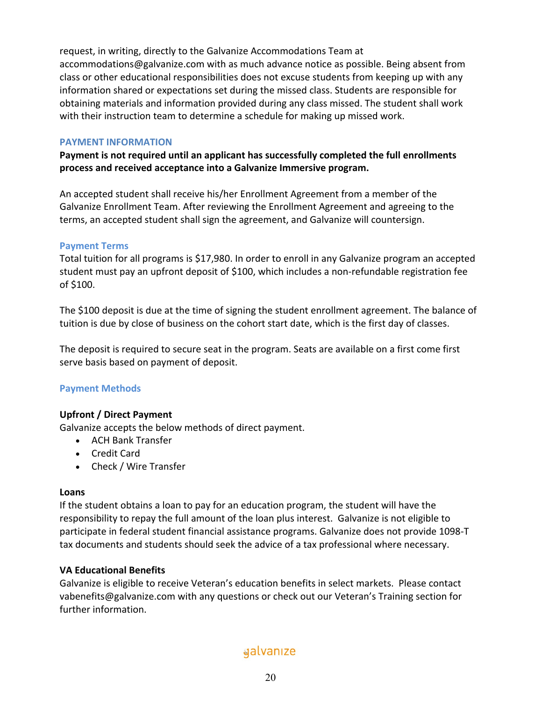request, in writing, directly to the Galvanize Accommodations Team at accommodations@galvanize.com with as much advance notice as possible. Being absent from class or other educational responsibilities does not excuse students from keeping up with any information shared or expectations set during the missed class. Students are responsible for obtaining materials and information provided during any class missed. The student shall work with their instruction team to determine a schedule for making up missed work.

## **PAYMENT INFORMATION**

**Payment is not required until an applicant has successfully completed the full enrollments process and received acceptance into a Galvanize Immersive program.** 

An accepted student shall receive his/her Enrollment Agreement from a member of the Galvanize Enrollment Team. After reviewing the Enrollment Agreement and agreeing to the terms, an accepted student shall sign the agreement, and Galvanize will countersign.

## **Payment Terms**

Total tuition for all programs is \$17,980. In order to enroll in any Galvanize program an accepted student must pay an upfront deposit of \$100, which includes a non-refundable registration fee of \$100.

The \$100 deposit is due at the time of signing the student enrollment agreement. The balance of tuition is due by close of business on the cohort start date, which is the first day of classes.

The deposit is required to secure seat in the program. Seats are available on a first come first serve basis based on payment of deposit.

## **Payment Methods**

## **Upfront / Direct Payment**

Galvanize accepts the below methods of direct payment.

- ACH Bank Transfer
- Credit Card
- Check / Wire Transfer

## **Loans**

If the student obtains a loan to pay for an education program, the student will have the responsibility to repay the full amount of the loan plus interest. Galvanize is not eligible to participate in federal student financial assistance programs. Galvanize does not provide 1098-T tax documents and students should seek the advice of a tax professional where necessary.

## **VA Educational Benefits**

Galvanize is eligible to receive Veteran's education benefits in select markets. Please contact vabenefits@galvanize.com with any questions or check out our Veteran's Training section for further information.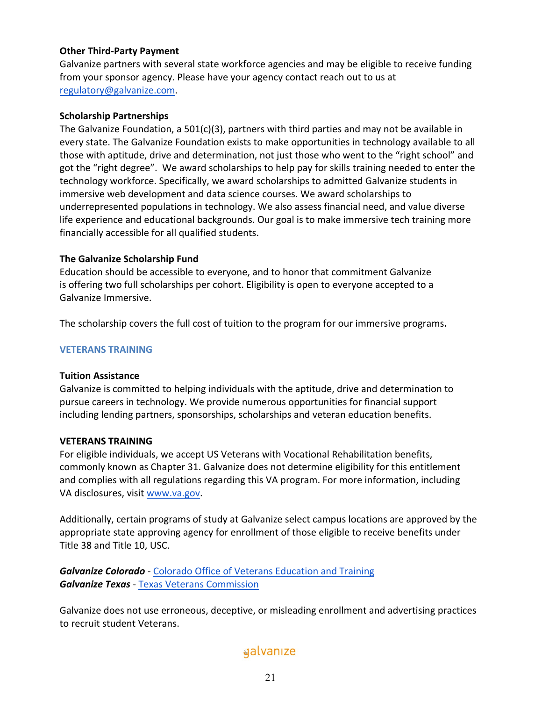## **Other Third-Party Payment**

Galvanize partners with several state workforce agencies and may be eligible to receive funding from your sponsor agency. Please have your agency contact reach out to us at regulatory@galvanize.com.

#### **Scholarship Partnerships**

The Galvanize Foundation, a  $501(c)(3)$ , partners with third parties and may not be available in every state. The Galvanize Foundation exists to make opportunities in technology available to all those with aptitude, drive and determination, not just those who went to the "right school" and got the "right degree". We award scholarships to help pay for skills training needed to enter the technology workforce. Specifically, we award scholarships to admitted Galvanize students in immersive web development and data science courses. We award scholarships to underrepresented populations in technology. We also assess financial need, and value diverse life experience and educational backgrounds. Our goal is to make immersive tech training more financially accessible for all qualified students.

#### **The Galvanize Scholarship Fund**

Education should be accessible to everyone, and to honor that commitment Galvanize is offering two full scholarships per cohort. Eligibility is open to everyone accepted to a Galvanize Immersive.

The scholarship covers the full cost of tuition to the program for our immersive programs**.**

#### **VETERANS TRAINING**

#### **Tuition Assistance**

Galvanize is committed to helping individuals with the aptitude, drive and determination to pursue careers in technology. We provide numerous opportunities for financial support including lending partners, sponsorships, scholarships and veteran education benefits.

#### **VETERANS TRAINING**

For eligible individuals, we accept US Veterans with Vocational Rehabilitation benefits, commonly known as Chapter 31. Galvanize does not determine eligibility for this entitlement and complies with all regulations regarding this VA program. For more information, including VA disclosures, visit www.va.gov.

Additionally, certain programs of study at Galvanize select campus locations are approved by the appropriate state approving agency for enrollment of those eligible to receive benefits under Title 38 and Title 10, USC.

*Galvanize Colorado* - Colorado Office of Veterans Education and Training *Galvanize Texas* - Texas Veterans Commission

Galvanize does not use erroneous, deceptive, or misleading enrollment and advertising practices to recruit student Veterans.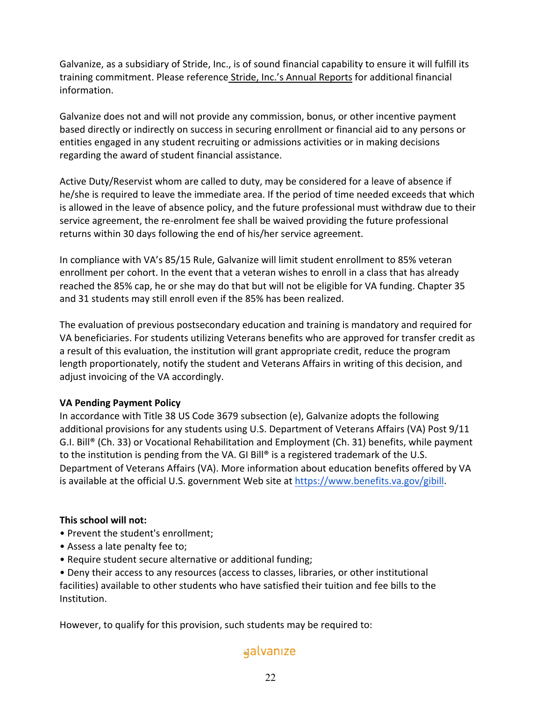Galvanize, as a subsidiary of Stride, Inc., is of sound financial capability to ensure it will fulfill its training commitment. Please reference Stride, Inc.'s Annual Reports for additional financial information.

Galvanize does not and will not provide any commission, bonus, or other incentive payment based directly or indirectly on success in securing enrollment or financial aid to any persons or entities engaged in any student recruiting or admissions activities or in making decisions regarding the award of student financial assistance.

Active Duty/Reservist whom are called to duty, may be considered for a leave of absence if he/she is required to leave the immediate area. If the period of time needed exceeds that which is allowed in the leave of absence policy, and the future professional must withdraw due to their service agreement, the re-enrolment fee shall be waived providing the future professional returns within 30 days following the end of his/her service agreement.

In compliance with VA's 85/15 Rule, Galvanize will limit student enrollment to 85% veteran enrollment per cohort. In the event that a veteran wishes to enroll in a class that has already reached the 85% cap, he or she may do that but will not be eligible for VA funding. Chapter 35 and 31 students may still enroll even if the 85% has been realized.

The evaluation of previous postsecondary education and training is mandatory and required for VA beneficiaries. For students utilizing Veterans benefits who are approved for transfer credit as a result of this evaluation, the institution will grant appropriate credit, reduce the program length proportionately, notify the student and Veterans Affairs in writing of this decision, and adjust invoicing of the VA accordingly.

## **VA Pending Payment Policy**

In accordance with Title 38 US Code 3679 subsection (e), Galvanize adopts the following additional provisions for any students using U.S. Department of Veterans Affairs (VA) Post 9/11 G.I. Bill® (Ch. 33) or Vocational Rehabilitation and Employment (Ch. 31) benefits, while payment to the institution is pending from the VA. GI Bill® is a registered trademark of the U.S. Department of Veterans Affairs (VA). More information about education benefits offered by VA is available at the official U.S. government Web site at https://www.benefits.va.gov/gibill.

## **This school will not:**

- Prevent the student's enrollment;
- Assess a late penalty fee to;
- Require student secure alternative or additional funding;

• Deny their access to any resources (access to classes, libraries, or other institutional facilities) available to other students who have satisfied their tuition and fee bills to the Institution.

However, to qualify for this provision, such students may be required to: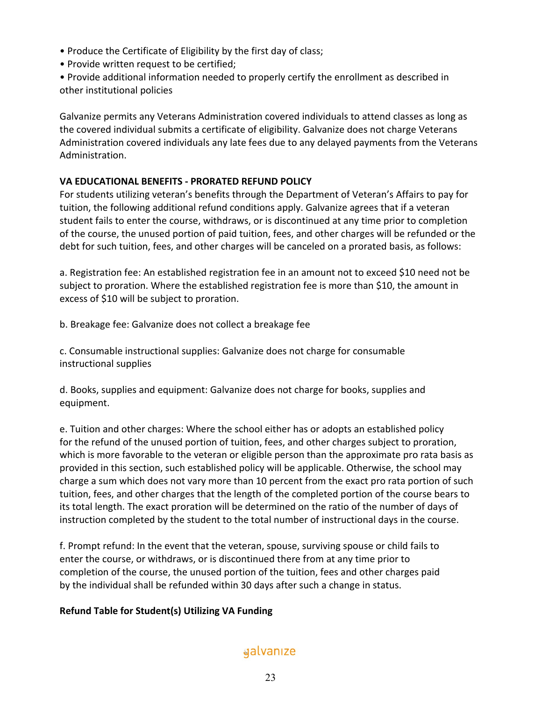- Produce the Certificate of Eligibility by the first day of class;
- Provide written request to be certified;
- Provide additional information needed to properly certify the enrollment as described in other institutional policies

Galvanize permits any Veterans Administration covered individuals to attend classes as long as the covered individual submits a certificate of eligibility. Galvanize does not charge Veterans Administration covered individuals any late fees due to any delayed payments from the Veterans Administration.

## **VA EDUCATIONAL BENEFITS - PRORATED REFUND POLICY**

For students utilizing veteran's benefits through the Department of Veteran's Affairs to pay for tuition, the following additional refund conditions apply. Galvanize agrees that if a veteran student fails to enter the course, withdraws, or is discontinued at any time prior to completion of the course, the unused portion of paid tuition, fees, and other charges will be refunded or the debt for such tuition, fees, and other charges will be canceled on a prorated basis, as follows:

a. Registration fee: An established registration fee in an amount not to exceed \$10 need not be subject to proration. Where the established registration fee is more than \$10, the amount in excess of \$10 will be subject to proration.

b. Breakage fee: Galvanize does not collect a breakage fee

c. Consumable instructional supplies: Galvanize does not charge for consumable instructional supplies

d. Books, supplies and equipment: Galvanize does not charge for books, supplies and equipment.

e. Tuition and other charges: Where the school either has or adopts an established policy for the refund of the unused portion of tuition, fees, and other charges subject to proration, which is more favorable to the veteran or eligible person than the approximate pro rata basis as provided in this section, such established policy will be applicable. Otherwise, the school may charge a sum which does not vary more than 10 percent from the exact pro rata portion of such tuition, fees, and other charges that the length of the completed portion of the course bears to its total length. The exact proration will be determined on the ratio of the number of days of instruction completed by the student to the total number of instructional days in the course.

f. Prompt refund: In the event that the veteran, spouse, surviving spouse or child fails to enter the course, or withdraws, or is discontinued there from at any time prior to completion of the course, the unused portion of the tuition, fees and other charges paid by the individual shall be refunded within 30 days after such a change in status.

## **Refund Table for Student(s) Utilizing VA Funding**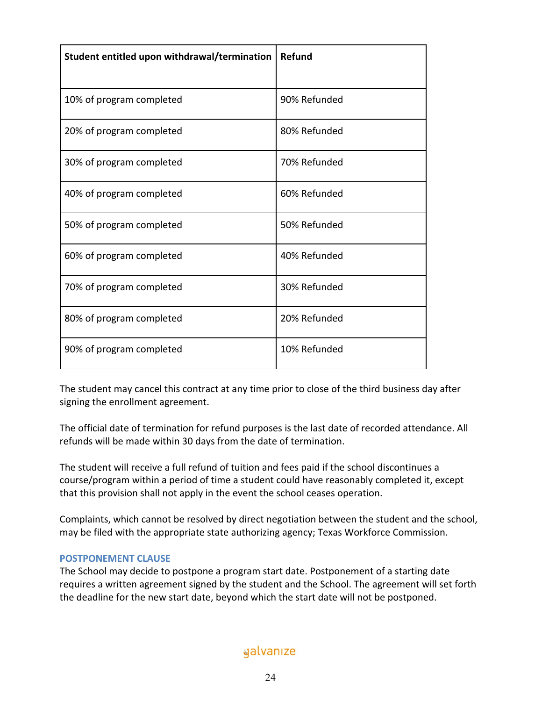| Student entitled upon withdrawal/termination | Refund       |
|----------------------------------------------|--------------|
| 10% of program completed                     | 90% Refunded |
| 20% of program completed                     | 80% Refunded |
| 30% of program completed                     | 70% Refunded |
| 40% of program completed                     | 60% Refunded |
| 50% of program completed                     | 50% Refunded |
| 60% of program completed                     | 40% Refunded |
| 70% of program completed                     | 30% Refunded |
| 80% of program completed                     | 20% Refunded |
| 90% of program completed                     | 10% Refunded |

The student may cancel this contract at any time prior to close of the third business day after signing the enrollment agreement.

The official date of termination for refund purposes is the last date of recorded attendance. All refunds will be made within 30 days from the date of termination.

The student will receive a full refund of tuition and fees paid if the school discontinues a course/program within a period of time a student could have reasonably completed it, except that this provision shall not apply in the event the school ceases operation.

Complaints, which cannot be resolved by direct negotiation between the student and the school, may be filed with the appropriate state authorizing agency; Texas Workforce Commission.

## **POSTPONEMENT CLAUSE**

The School may decide to postpone a program start date. Postponement of a starting date requires a written agreement signed by the student and the School. The agreement will set forth the deadline for the new start date, beyond which the start date will not be postponed.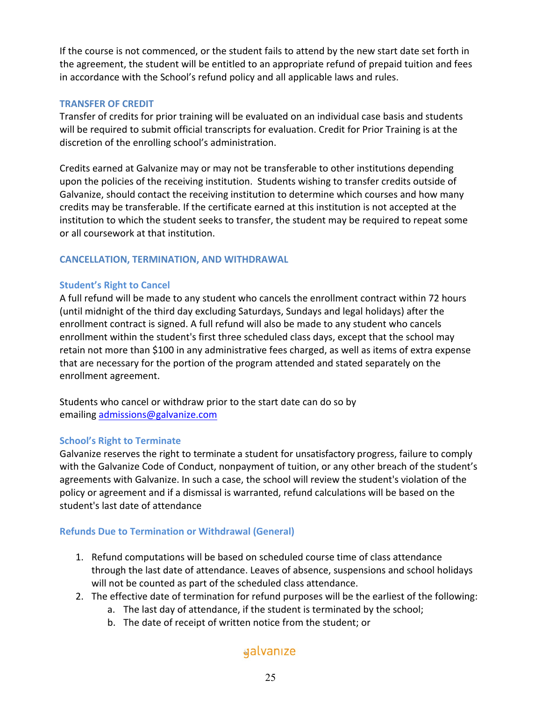If the course is not commenced, or the student fails to attend by the new start date set forth in the agreement, the student will be entitled to an appropriate refund of prepaid tuition and fees in accordance with the School's refund policy and all applicable laws and rules.

## **TRANSFER OF CREDIT**

Transfer of credits for prior training will be evaluated on an individual case basis and students will be required to submit official transcripts for evaluation. Credit for Prior Training is at the discretion of the enrolling school's administration.

Credits earned at Galvanize may or may not be transferable to other institutions depending upon the policies of the receiving institution. Students wishing to transfer credits outside of Galvanize, should contact the receiving institution to determine which courses and how many credits may be transferable. If the certificate earned at this institution is not accepted at the institution to which the student seeks to transfer, the student may be required to repeat some or all coursework at that institution.

## **CANCELLATION, TERMINATION, AND WITHDRAWAL**

## **Student's Right to Cancel**

A full refund will be made to any student who cancels the enrollment contract within 72 hours (until midnight of the third day excluding Saturdays, Sundays and legal holidays) after the enrollment contract is signed. A full refund will also be made to any student who cancels enrollment within the student's first three scheduled class days, except that the school may retain not more than \$100 in any administrative fees charged, as well as items of extra expense that are necessary for the portion of the program attended and stated separately on the enrollment agreement.

Students who cancel or withdraw prior to the start date can do so by emailing admissions@galvanize.com

## **School's Right to Terminate**

Galvanize reserves the right to terminate a student for unsatisfactory progress, failure to comply with the Galvanize Code of Conduct, nonpayment of tuition, or any other breach of the student's agreements with Galvanize. In such a case, the school will review the student's violation of the policy or agreement and if a dismissal is warranted, refund calculations will be based on the student's last date of attendance

## **Refunds Due to Termination or Withdrawal (General)**

- 1. Refund computations will be based on scheduled course time of class attendance through the last date of attendance. Leaves of absence, suspensions and school holidays will not be counted as part of the scheduled class attendance.
- 2. The effective date of termination for refund purposes will be the earliest of the following:
	- a. The last day of attendance, if the student is terminated by the school;
	- b. The date of receipt of written notice from the student; or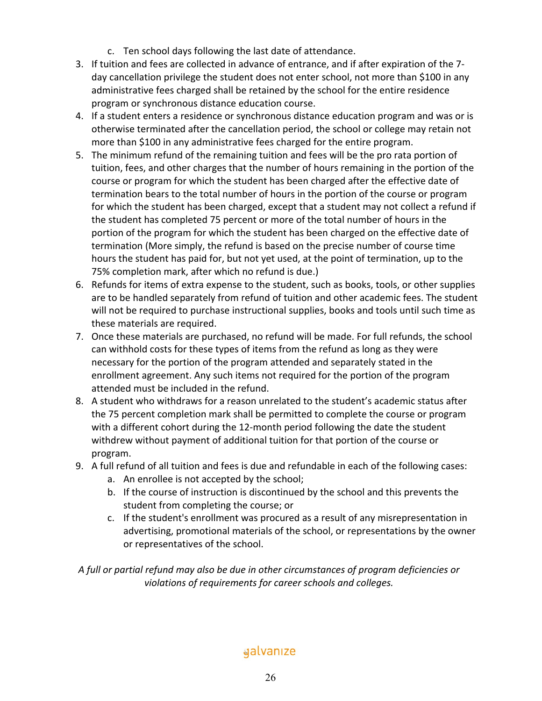- c. Ten school days following the last date of attendance.
- 3. If tuition and fees are collected in advance of entrance, and if after expiration of the 7 day cancellation privilege the student does not enter school, not more than \$100 in any administrative fees charged shall be retained by the school for the entire residence program or synchronous distance education course.
- 4. If a student enters a residence or synchronous distance education program and was or is otherwise terminated after the cancellation period, the school or college may retain not more than \$100 in any administrative fees charged for the entire program.
- 5. The minimum refund of the remaining tuition and fees will be the pro rata portion of tuition, fees, and other charges that the number of hours remaining in the portion of the course or program for which the student has been charged after the effective date of termination bears to the total number of hours in the portion of the course or program for which the student has been charged, except that a student may not collect a refund if the student has completed 75 percent or more of the total number of hours in the portion of the program for which the student has been charged on the effective date of termination (More simply, the refund is based on the precise number of course time hours the student has paid for, but not yet used, at the point of termination, up to the 75% completion mark, after which no refund is due.)
- 6. Refunds for items of extra expense to the student, such as books, tools, or other supplies are to be handled separately from refund of tuition and other academic fees. The student will not be required to purchase instructional supplies, books and tools until such time as these materials are required.
- 7. Once these materials are purchased, no refund will be made. For full refunds, the school can withhold costs for these types of items from the refund as long as they were necessary for the portion of the program attended and separately stated in the enrollment agreement. Any such items not required for the portion of the program attended must be included in the refund.
- 8. A student who withdraws for a reason unrelated to the student's academic status after the 75 percent completion mark shall be permitted to complete the course or program with a different cohort during the 12-month period following the date the student withdrew without payment of additional tuition for that portion of the course or program.
- 9. A full refund of all tuition and fees is due and refundable in each of the following cases:
	- a. An enrollee is not accepted by the school;
	- b. If the course of instruction is discontinued by the school and this prevents the student from completing the course; or
	- c. If the student's enrollment was procured as a result of any misrepresentation in advertising, promotional materials of the school, or representations by the owner or representatives of the school.

*A full or partial refund may also be due in other circumstances of program deficiencies or violations of requirements for career schools and colleges.*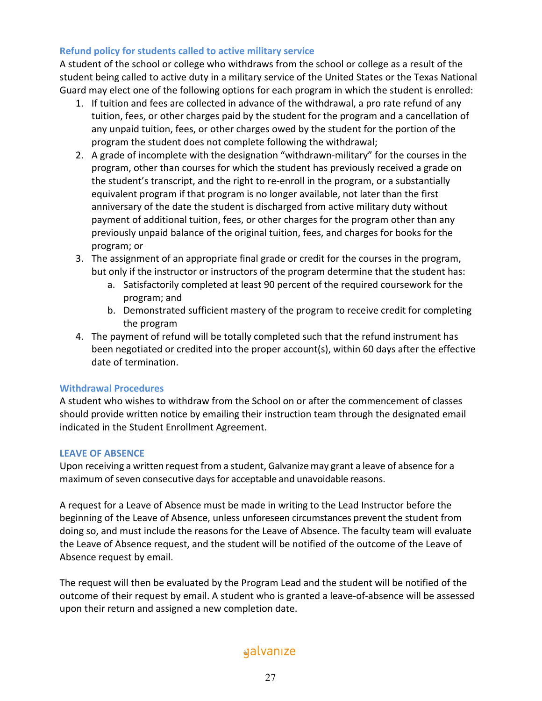## **Refund policy for students called to active military service**

A student of the school or college who withdraws from the school or college as a result of the student being called to active duty in a military service of the United States or the Texas National Guard may elect one of the following options for each program in which the student is enrolled:

- 1. If tuition and fees are collected in advance of the withdrawal, a pro rate refund of any tuition, fees, or other charges paid by the student for the program and a cancellation of any unpaid tuition, fees, or other charges owed by the student for the portion of the program the student does not complete following the withdrawal;
- 2. A grade of incomplete with the designation "withdrawn-military" for the courses in the program, other than courses for which the student has previously received a grade on the student's transcript, and the right to re-enroll in the program, or a substantially equivalent program if that program is no longer available, not later than the first anniversary of the date the student is discharged from active military duty without payment of additional tuition, fees, or other charges for the program other than any previously unpaid balance of the original tuition, fees, and charges for books for the program; or
- 3. The assignment of an appropriate final grade or credit for the courses in the program, but only if the instructor or instructors of the program determine that the student has:
	- a. Satisfactorily completed at least 90 percent of the required coursework for the program; and
	- b. Demonstrated sufficient mastery of the program to receive credit for completing the program
- 4. The payment of refund will be totally completed such that the refund instrument has been negotiated or credited into the proper account(s), within 60 days after the effective date of termination.

## **Withdrawal Procedures**

A student who wishes to withdraw from the School on or after the commencement of classes should provide written notice by emailing their instruction team through the designated email indicated in the Student Enrollment Agreement.

## **LEAVE OF ABSENCE**

Upon receiving a written request from a student, Galvanize may grant a leave of absence for a maximum of seven consecutive days for acceptable and unavoidable reasons.

A request for a Leave of Absence must be made in writing to the Lead Instructor before the beginning of the Leave of Absence, unless unforeseen circumstances prevent the student from doing so, and must include the reasons for the Leave of Absence. The faculty team will evaluate the Leave of Absence request, and the student will be notified of the outcome of the Leave of Absence request by email.

The request will then be evaluated by the Program Lead and the student will be notified of the outcome of their request by email. A student who is granted a leave-of-absence will be assessed upon their return and assigned a new completion date.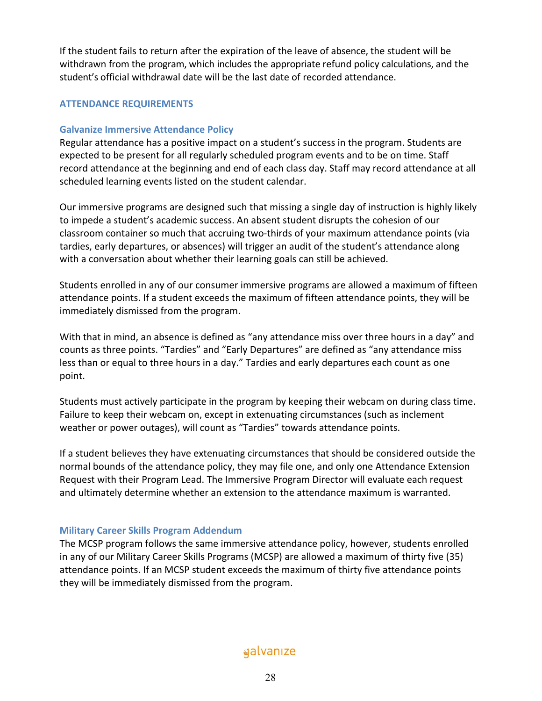If the student fails to return after the expiration of the leave of absence, the student will be withdrawn from the program, which includes the appropriate refund policy calculations, and the student's official withdrawal date will be the last date of recorded attendance.

## **ATTENDANCE REQUIREMENTS**

## **Galvanize Immersive Attendance Policy**

Regular attendance has a positive impact on a student's success in the program. Students are expected to be present for all regularly scheduled program events and to be on time. Staff record attendance at the beginning and end of each class day. Staff may record attendance at all scheduled learning events listed on the student calendar.

Our immersive programs are designed such that missing a single day of instruction is highly likely to impede a student's academic success. An absent student disrupts the cohesion of our classroom container so much that accruing two-thirds of your maximum attendance points (via tardies, early departures, or absences) will trigger an audit of the student's attendance along with a conversation about whether their learning goals can still be achieved.

Students enrolled in any of our consumer immersive programs are allowed a maximum of fifteen attendance points. If a student exceeds the maximum of fifteen attendance points, they will be immediately dismissed from the program.

With that in mind, an absence is defined as "any attendance miss over three hours in a day" and counts as three points. "Tardies" and "Early Departures" are defined as "any attendance miss less than or equal to three hours in a day." Tardies and early departures each count as one point.

Students must actively participate in the program by keeping their webcam on during class time. Failure to keep their webcam on, except in extenuating circumstances (such as inclement weather or power outages), will count as "Tardies" towards attendance points.

If a student believes they have extenuating circumstances that should be considered outside the normal bounds of the attendance policy, they may file one, and only one Attendance Extension Request with their Program Lead. The Immersive Program Director will evaluate each request and ultimately determine whether an extension to the attendance maximum is warranted.

## **Military Career Skills Program Addendum**

The MCSP program follows the same immersive attendance policy, however, students enrolled in any of our Military Career Skills Programs (MCSP) are allowed a maximum of thirty five (35) attendance points. If an MCSP student exceeds the maximum of thirty five attendance points they will be immediately dismissed from the program.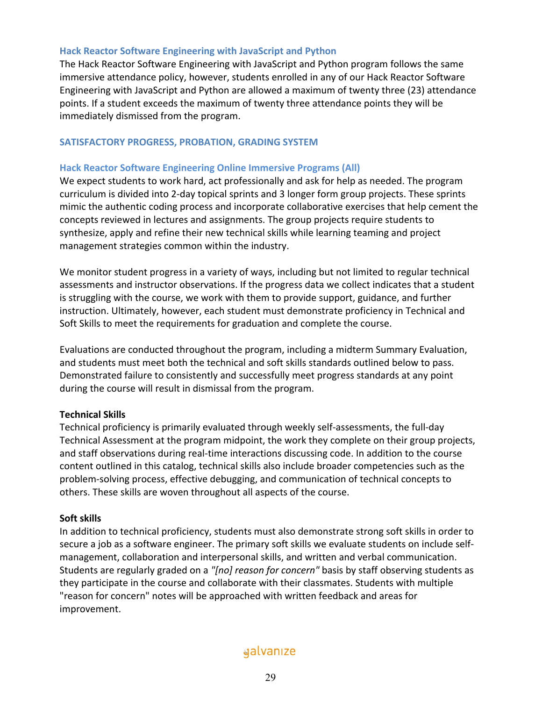## **Hack Reactor Software Engineering with JavaScript and Python**

The Hack Reactor Software Engineering with JavaScript and Python program follows the same immersive attendance policy, however, students enrolled in any of our Hack Reactor Software Engineering with JavaScript and Python are allowed a maximum of twenty three (23) attendance points. If a student exceeds the maximum of twenty three attendance points they will be immediately dismissed from the program.

#### **SATISFACTORY PROGRESS, PROBATION, GRADING SYSTEM**

#### **Hack Reactor Software Engineering Online Immersive Programs (All)**

We expect students to work hard, act professionally and ask for help as needed. The program curriculum is divided into 2-day topical sprints and 3 longer form group projects. These sprints mimic the authentic coding process and incorporate collaborative exercises that help cement the concepts reviewed in lectures and assignments. The group projects require students to synthesize, apply and refine their new technical skills while learning teaming and project management strategies common within the industry.

We monitor student progress in a variety of ways, including but not limited to regular technical assessments and instructor observations. If the progress data we collect indicates that a student is struggling with the course, we work with them to provide support, guidance, and further instruction. Ultimately, however, each student must demonstrate proficiency in Technical and Soft Skills to meet the requirements for graduation and complete the course.

Evaluations are conducted throughout the program, including a midterm Summary Evaluation, and students must meet both the technical and soft skills standards outlined below to pass. Demonstrated failure to consistently and successfully meet progress standards at any point during the course will result in dismissal from the program.

## **Technical Skills**

Technical proficiency is primarily evaluated through weekly self-assessments, the full-day Technical Assessment at the program midpoint, the work they complete on their group projects, and staff observations during real-time interactions discussing code. In addition to the course content outlined in this catalog, technical skills also include broader competencies such as the problem-solving process, effective debugging, and communication of technical concepts to others. These skills are woven throughout all aspects of the course.

#### **Soft skills**

In addition to technical proficiency, students must also demonstrate strong soft skills in order to secure a job as a software engineer. The primary soft skills we evaluate students on include selfmanagement, collaboration and interpersonal skills, and written and verbal communication. Students are regularly graded on a *"[no] reason for concern"* basis by staff observing students as they participate in the course and collaborate with their classmates. Students with multiple "reason for concern" notes will be approached with written feedback and areas for improvement.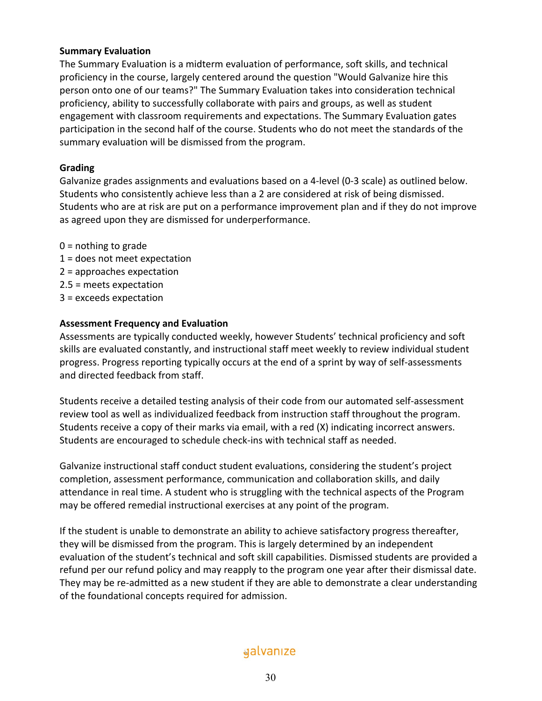## **Summary Evaluation**

The Summary Evaluation is a midterm evaluation of performance, soft skills, and technical proficiency in the course, largely centered around the question "Would Galvanize hire this person onto one of our teams?" The Summary Evaluation takes into consideration technical proficiency, ability to successfully collaborate with pairs and groups, as well as student engagement with classroom requirements and expectations. The Summary Evaluation gates participation in the second half of the course. Students who do not meet the standards of the summary evaluation will be dismissed from the program.

#### **Grading**

Galvanize grades assignments and evaluations based on a 4-level (0-3 scale) as outlined below. Students who consistently achieve less than a 2 are considered at risk of being dismissed. Students who are at risk are put on a performance improvement plan and if they do not improve as agreed upon they are dismissed for underperformance.

- $0 =$  nothing to grade
- 1 = does not meet expectation
- 2 = approaches expectation
- 2.5 = meets expectation
- 3 = exceeds expectation

## **Assessment Frequency and Evaluation**

Assessments are typically conducted weekly, however Students' technical proficiency and soft skills are evaluated constantly, and instructional staff meet weekly to review individual student progress. Progress reporting typically occurs at the end of a sprint by way of self-assessments and directed feedback from staff.

Students receive a detailed testing analysis of their code from our automated self-assessment review tool as well as individualized feedback from instruction staff throughout the program. Students receive a copy of their marks via email, with a red (X) indicating incorrect answers. Students are encouraged to schedule check-ins with technical staff as needed.

Galvanize instructional staff conduct student evaluations, considering the student's project completion, assessment performance, communication and collaboration skills, and daily attendance in real time. A student who is struggling with the technical aspects of the Program may be offered remedial instructional exercises at any point of the program.

If the student is unable to demonstrate an ability to achieve satisfactory progress thereafter, they will be dismissed from the program. This is largely determined by an independent evaluation of the student's technical and soft skill capabilities. Dismissed students are provided a refund per our refund policy and may reapply to the program one year after their dismissal date. They may be re-admitted as a new student if they are able to demonstrate a clear understanding of the foundational concepts required for admission.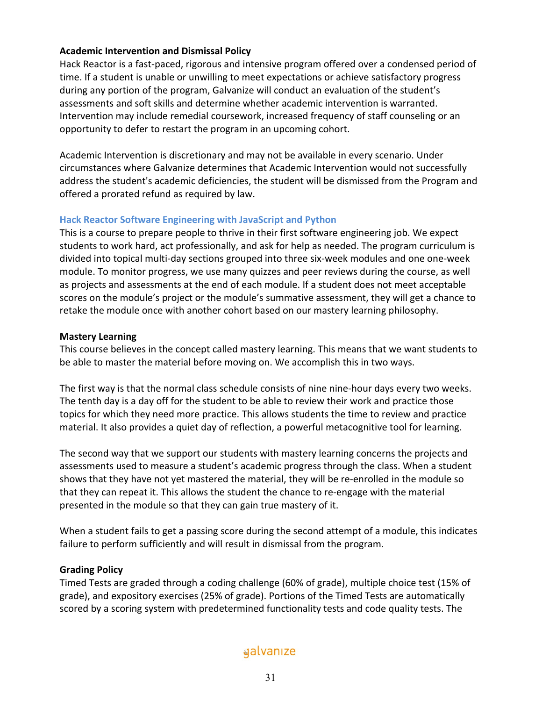## **Academic Intervention and Dismissal Policy**

Hack Reactor is a fast-paced, rigorous and intensive program offered over a condensed period of time. If a student is unable or unwilling to meet expectations or achieve satisfactory progress during any portion of the program, Galvanize will conduct an evaluation of the student's assessments and soft skills and determine whether academic intervention is warranted. Intervention may include remedial coursework, increased frequency of staff counseling or an opportunity to defer to restart the program in an upcoming cohort.

Academic Intervention is discretionary and may not be available in every scenario. Under circumstances where Galvanize determines that Academic Intervention would not successfully address the student's academic deficiencies, the student will be dismissed from the Program and offered a prorated refund as required by law.

## **Hack Reactor Software Engineering with JavaScript and Python**

This is a course to prepare people to thrive in their first software engineering job. We expect students to work hard, act professionally, and ask for help as needed. The program curriculum is divided into topical multi-day sections grouped into three six-week modules and one one-week module. To monitor progress, we use many quizzes and peer reviews during the course, as well as projects and assessments at the end of each module. If a student does not meet acceptable scores on the module's project or the module's summative assessment, they will get a chance to retake the module once with another cohort based on our mastery learning philosophy.

## **Mastery Learning**

This course believes in the concept called mastery learning. This means that we want students to be able to master the material before moving on. We accomplish this in two ways.

The first way is that the normal class schedule consists of nine nine-hour days every two weeks. The tenth day is a day off for the student to be able to review their work and practice those topics for which they need more practice. This allows students the time to review and practice material. It also provides a quiet day of reflection, a powerful metacognitive tool for learning.

The second way that we support our students with mastery learning concerns the projects and assessments used to measure a student's academic progress through the class. When a student shows that they have not yet mastered the material, they will be re-enrolled in the module so that they can repeat it. This allows the student the chance to re-engage with the material presented in the module so that they can gain true mastery of it.

When a student fails to get a passing score during the second attempt of a module, this indicates failure to perform sufficiently and will result in dismissal from the program.

## **Grading Policy**

Timed Tests are graded through a coding challenge (60% of grade), multiple choice test (15% of grade), and expository exercises (25% of grade). Portions of the Timed Tests are automatically scored by a scoring system with predetermined functionality tests and code quality tests. The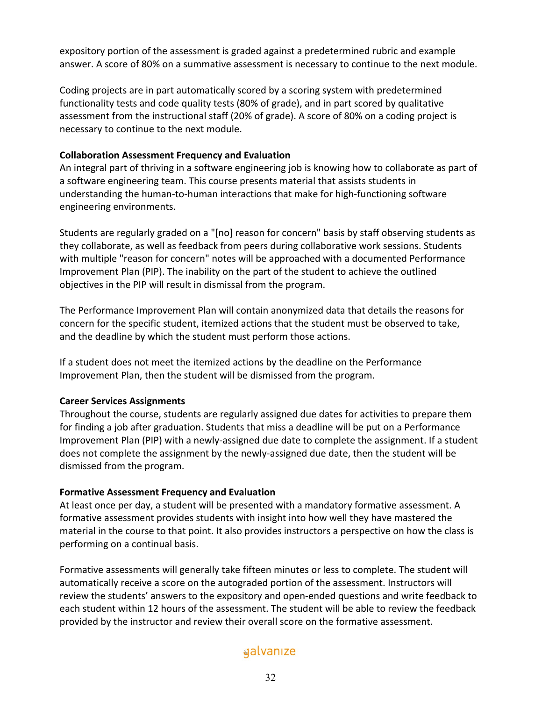expository portion of the assessment is graded against a predetermined rubric and example answer. A score of 80% on a summative assessment is necessary to continue to the next module.

Coding projects are in part automatically scored by a scoring system with predetermined functionality tests and code quality tests (80% of grade), and in part scored by qualitative assessment from the instructional staff (20% of grade). A score of 80% on a coding project is necessary to continue to the next module.

## **Collaboration Assessment Frequency and Evaluation**

An integral part of thriving in a software engineering job is knowing how to collaborate as part of a software engineering team. This course presents material that assists students in understanding the human-to-human interactions that make for high-functioning software engineering environments.

Students are regularly graded on a "[no] reason for concern" basis by staff observing students as they collaborate, as well as feedback from peers during collaborative work sessions. Students with multiple "reason for concern" notes will be approached with a documented Performance Improvement Plan (PIP). The inability on the part of the student to achieve the outlined objectives in the PIP will result in dismissal from the program.

The Performance Improvement Plan will contain anonymized data that details the reasons for concern for the specific student, itemized actions that the student must be observed to take, and the deadline by which the student must perform those actions.

If a student does not meet the itemized actions by the deadline on the Performance Improvement Plan, then the student will be dismissed from the program.

## **Career Services Assignments**

Throughout the course, students are regularly assigned due dates for activities to prepare them for finding a job after graduation. Students that miss a deadline will be put on a Performance Improvement Plan (PIP) with a newly-assigned due date to complete the assignment. If a student does not complete the assignment by the newly-assigned due date, then the student will be dismissed from the program.

## **Formative Assessment Frequency and Evaluation**

At least once per day, a student will be presented with a mandatory formative assessment. A formative assessment provides students with insight into how well they have mastered the material in the course to that point. It also provides instructors a perspective on how the class is performing on a continual basis.

Formative assessments will generally take fifteen minutes or less to complete. The student will automatically receive a score on the autograded portion of the assessment. Instructors will review the students' answers to the expository and open-ended questions and write feedback to each student within 12 hours of the assessment. The student will be able to review the feedback provided by the instructor and review their overall score on the formative assessment.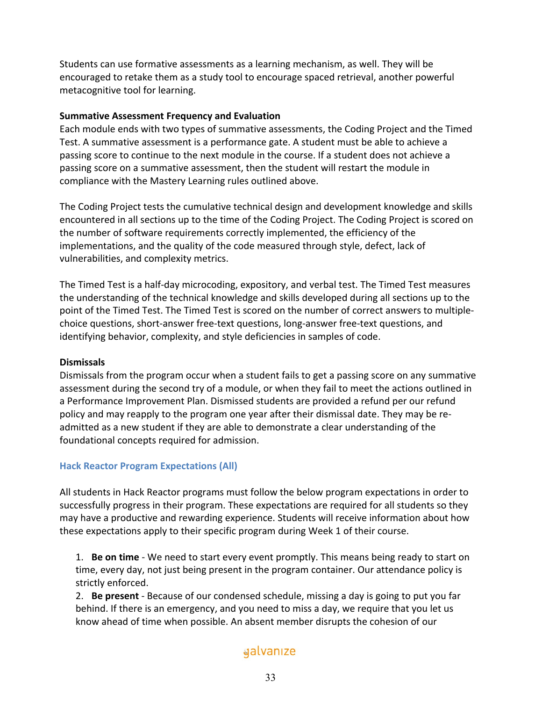Students can use formative assessments as a learning mechanism, as well. They will be encouraged to retake them as a study tool to encourage spaced retrieval, another powerful metacognitive tool for learning.

## **Summative Assessment Frequency and Evaluation**

Each module ends with two types of summative assessments, the Coding Project and the Timed Test. A summative assessment is a performance gate. A student must be able to achieve a passing score to continue to the next module in the course. If a student does not achieve a passing score on a summative assessment, then the student will restart the module in compliance with the Mastery Learning rules outlined above.

The Coding Project tests the cumulative technical design and development knowledge and skills encountered in all sections up to the time of the Coding Project. The Coding Project is scored on the number of software requirements correctly implemented, the efficiency of the implementations, and the quality of the code measured through style, defect, lack of vulnerabilities, and complexity metrics.

The Timed Test is a half-day microcoding, expository, and verbal test. The Timed Test measures the understanding of the technical knowledge and skills developed during all sections up to the point of the Timed Test. The Timed Test is scored on the number of correct answers to multiplechoice questions, short-answer free-text questions, long-answer free-text questions, and identifying behavior, complexity, and style deficiencies in samples of code.

## **Dismissals**

Dismissals from the program occur when a student fails to get a passing score on any summative assessment during the second try of a module, or when they fail to meet the actions outlined in a Performance Improvement Plan. Dismissed students are provided a refund per our refund policy and may reapply to the program one year after their dismissal date. They may be readmitted as a new student if they are able to demonstrate a clear understanding of the foundational concepts required for admission.

## **Hack Reactor Program Expectations (All)**

All students in Hack Reactor programs must follow the below program expectations in order to successfully progress in their program. These expectations are required for all students so they may have a productive and rewarding experience. Students will receive information about how these expectations apply to their specific program during Week 1 of their course.

1. **Be on time** - We need to start every event promptly. This means being ready to start on time, every day, not just being present in the program container. Our attendance policy is strictly enforced.

2. **Be present** - Because of our condensed schedule, missing a day is going to put you far behind. If there is an emergency, and you need to miss a day, we require that you let us know ahead of time when possible. An absent member disrupts the cohesion of our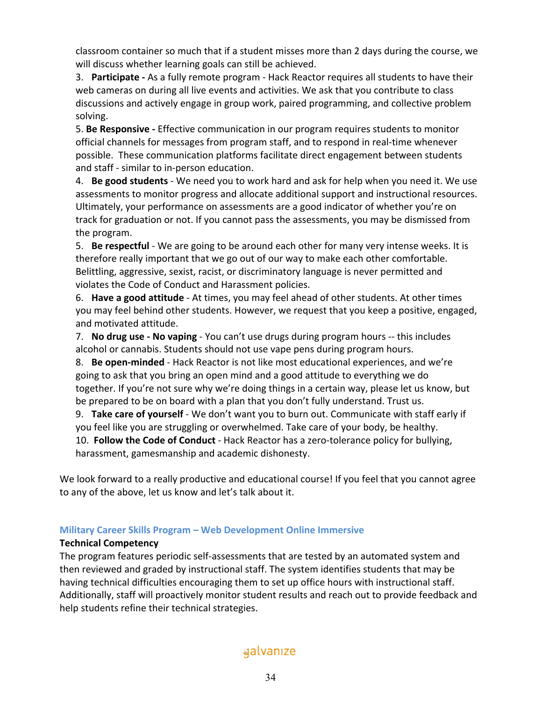classroom container so much that if a student misses more than 2 days during the course, we will discuss whether learning goals can still be achieved.

3. **Participate -** As a fully remote program - Hack Reactor requires all students to have their web cameras on during all live events and activities. We ask that you contribute to class discussions and actively engage in group work, paired programming, and collective problem solving.

5. **Be Responsive -** Effective communication in our program requires students to monitor official channels for messages from program staff, and to respond in real-time whenever possible. These communication platforms facilitate direct engagement between students and staff - similar to in-person education.

4. **Be good students** - We need you to work hard and ask for help when you need it. We use assessments to monitor progress and allocate additional support and instructional resources. Ultimately, your performance on assessments are a good indicator of whether you're on track for graduation or not. If you cannot pass the assessments, you may be dismissed from the program.

5. **Be respectful** - We are going to be around each other for many very intense weeks. It is therefore really important that we go out of our way to make each other comfortable. Belittling, aggressive, sexist, racist, or discriminatory language is never permitted and violates the Code of Conduct and Harassment policies.

6. **Have a good attitude** - At times, you may feel ahead of other students. At other times you may feel behind other students. However, we request that you keep a positive, engaged, and motivated attitude.

7. **No drug use - No vaping** - You can't use drugs during program hours -- this includes alcohol or cannabis. Students should not use vape pens during program hours.

8. **Be open-minded** - Hack Reactor is not like most educational experiences, and we're going to ask that you bring an open mind and a good attitude to everything we do together. If you're not sure why we're doing things in a certain way, please let us know, but be prepared to be on board with a plan that you don't fully understand. Trust us.

9. **Take care of yourself** - We don't want you to burn out. Communicate with staff early if you feel like you are struggling or overwhelmed. Take care of your body, be healthy. 10. **Follow the Code of Conduct** - Hack Reactor has a zero-tolerance policy for bullying, harassment, gamesmanship and academic dishonesty.

We look forward to a really productive and educational course! If you feel that you cannot agree to any of the above, let us know and let's talk about it.

## **Military Career Skills Program – Web Development Online Immersive**

## **Technical Competency**

The program features periodic self-assessments that are tested by an automated system and then reviewed and graded by instructional staff. The system identifies students that may be having technical difficulties encouraging them to set up office hours with instructional staff. Additionally, staff will proactively monitor student results and reach out to provide feedback and help students refine their technical strategies.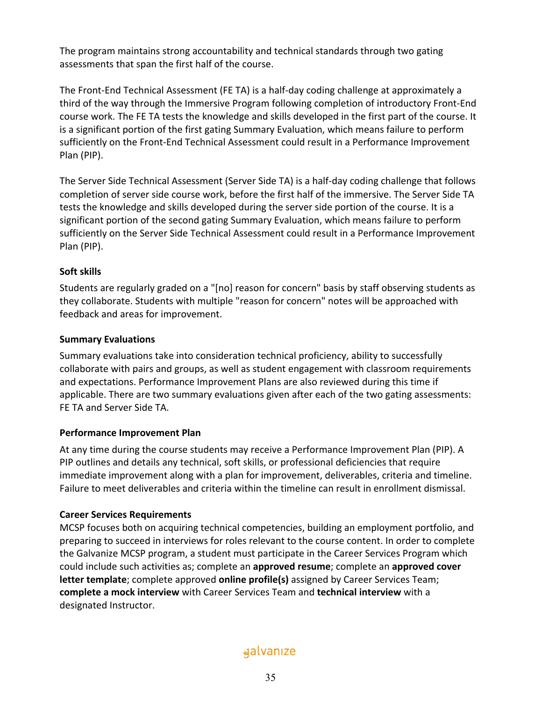The program maintains strong accountability and technical standards through two gating assessments that span the first half of the course.

The Front-End Technical Assessment (FE TA) is a half-day coding challenge at approximately a third of the way through the Immersive Program following completion of introductory Front-End course work. The FE TA tests the knowledge and skills developed in the first part of the course. It is a significant portion of the first gating Summary Evaluation, which means failure to perform sufficiently on the Front-End Technical Assessment could result in a Performance Improvement Plan (PIP).

The Server Side Technical Assessment (Server Side TA) is a half-day coding challenge that follows completion of server side course work, before the first half of the immersive. The Server Side TA tests the knowledge and skills developed during the server side portion of the course. It is a significant portion of the second gating Summary Evaluation, which means failure to perform sufficiently on the Server Side Technical Assessment could result in a Performance Improvement Plan (PIP).

## **Soft skills**

Students are regularly graded on a "[no] reason for concern" basis by staff observing students as they collaborate. Students with multiple "reason for concern" notes will be approached with feedback and areas for improvement.

## **Summary Evaluations**

Summary evaluations take into consideration technical proficiency, ability to successfully collaborate with pairs and groups, as well as student engagement with classroom requirements and expectations. Performance Improvement Plans are also reviewed during this time if applicable. There are two summary evaluations given after each of the two gating assessments: FE TA and Server Side TA.

## **Performance Improvement Plan**

At any time during the course students may receive a Performance Improvement Plan (PIP). A PIP outlines and details any technical, soft skills, or professional deficiencies that require immediate improvement along with a plan for improvement, deliverables, criteria and timeline. Failure to meet deliverables and criteria within the timeline can result in enrollment dismissal.

## **Career Services Requirements**

MCSP focuses both on acquiring technical competencies, building an employment portfolio, and preparing to succeed in interviews for roles relevant to the course content. In order to complete the Galvanize MCSP program, a student must participate in the Career Services Program which could include such activities as; complete an **approved resume**; complete an **approved cover letter template**; complete approved **online profile(s)** assigned by Career Services Team; **complete a mock interview** with Career Services Team and **technical interview** with a designated Instructor.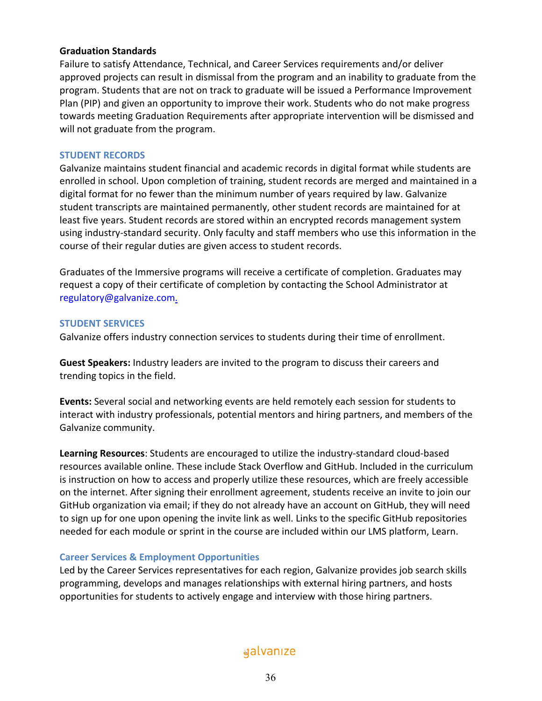#### **Graduation Standards**

Failure to satisfy Attendance, Technical, and Career Services requirements and/or deliver approved projects can result in dismissal from the program and an inability to graduate from the program. Students that are not on track to graduate will be issued a Performance Improvement Plan (PIP) and given an opportunity to improve their work. Students who do not make progress towards meeting Graduation Requirements after appropriate intervention will be dismissed and will not graduate from the program.

#### **STUDENT RECORDS**

Galvanize maintains student financial and academic records in digital format while students are enrolled in school. Upon completion of training, student records are merged and maintained in a digital format for no fewer than the minimum number of years required by law. Galvanize student transcripts are maintained permanently, other student records are maintained for at least five years. Student records are stored within an encrypted records management system using industry-standard security. Only faculty and staff members who use this information in the course of their regular duties are given access to student records.

Graduates of the Immersive programs will receive a certificate of completion. Graduates may request a copy of their certificate of completion by contacting the School Administrator at regulatory@galvanize.com.

#### **STUDENT SERVICES**

Galvanize offers industry connection services to students during their time of enrollment.

**Guest Speakers:** Industry leaders are invited to the program to discuss their careers and trending topics in the field.

**Events:** Several social and networking events are held remotely each session for students to interact with industry professionals, potential mentors and hiring partners, and members of the Galvanize community.

**Learning Resources**: Students are encouraged to utilize the industry-standard cloud-based resources available online. These include Stack Overflow and GitHub. Included in the curriculum is instruction on how to access and properly utilize these resources, which are freely accessible on the internet. After signing their enrollment agreement, students receive an invite to join our GitHub organization via email; if they do not already have an account on GitHub, they will need to sign up for one upon opening the invite link as well. Links to the specific GitHub repositories needed for each module or sprint in the course are included within our LMS platform, Learn.

## **Career Services & Employment Opportunities**

Led by the Career Services representatives for each region, Galvanize provides job search skills programming, develops and manages relationships with external hiring partners, and hosts opportunities for students to actively engage and interview with those hiring partners.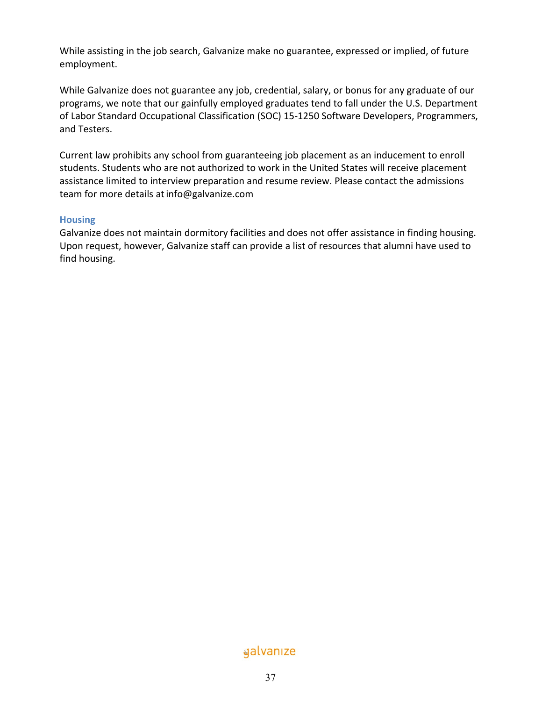While assisting in the job search, Galvanize make no guarantee, expressed or implied, of future employment.

While Galvanize does not guarantee any job, credential, salary, or bonus for any graduate of our programs, we note that our gainfully employed graduates tend to fall under the U.S. Department of Labor Standard Occupational Classification (SOC) 15-1250 Software Developers, Programmers, and Testers.

Current law prohibits any school from guaranteeing job placement as an inducement to enroll students. Students who are not authorized to work in the United States will receive placement assistance limited to interview preparation and resume review. Please contact the admissions team for more details at info@galvanize.com

## **Housing**

Galvanize does not maintain dormitory facilities and does not offer assistance in finding housing. Upon request, however, Galvanize staff can provide a list of resources that alumni have used to find housing.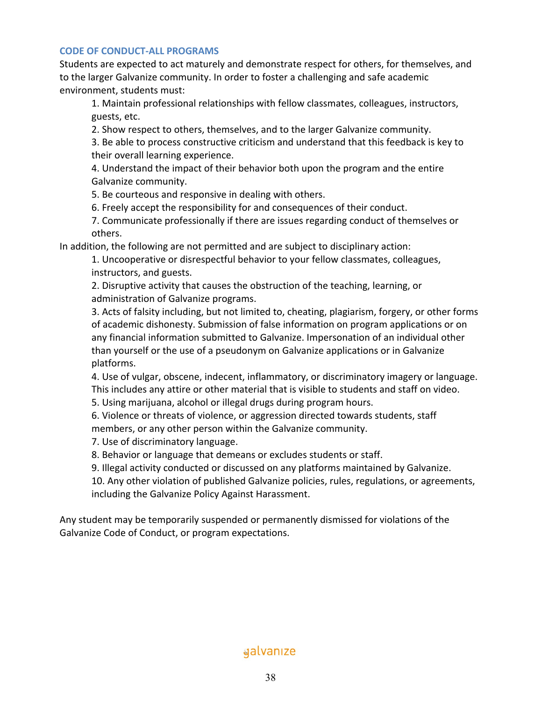#### **CODE OF CONDUCT-ALL PROGRAMS**

Students are expected to act maturely and demonstrate respect for others, for themselves, and to the larger Galvanize community. In order to foster a challenging and safe academic environment, students must:

1. Maintain professional relationships with fellow classmates, colleagues, instructors, guests, etc.

2. Show respect to others, themselves, and to the larger Galvanize community.

3. Be able to process constructive criticism and understand that this feedback is key to their overall learning experience.

4. Understand the impact of their behavior both upon the program and the entire Galvanize community.

5. Be courteous and responsive in dealing with others.

6. Freely accept the responsibility for and consequences of their conduct.

7. Communicate professionally if there are issues regarding conduct of themselves or others.

In addition, the following are not permitted and are subject to disciplinary action:

1. Uncooperative or disrespectful behavior to your fellow classmates, colleagues, instructors, and guests.

2. Disruptive activity that causes the obstruction of the teaching, learning, or administration of Galvanize programs.

3. Acts of falsity including, but not limited to, cheating, plagiarism, forgery, or other forms of academic dishonesty. Submission of false information on program applications or on any financial information submitted to Galvanize. Impersonation of an individual other than yourself or the use of a pseudonym on Galvanize applications or in Galvanize platforms.

4. Use of vulgar, obscene, indecent, inflammatory, or discriminatory imagery or language. This includes any attire or other material that is visible to students and staff on video.

5. Using marijuana, alcohol or illegal drugs during program hours.

6. Violence or threats of violence, or aggression directed towards students, staff members, or any other person within the Galvanize community.

7. Use of discriminatory language.

8. Behavior or language that demeans or excludes students or staff.

9. Illegal activity conducted or discussed on any platforms maintained by Galvanize.

10. Any other violation of published Galvanize policies, rules, regulations, or agreements, including the Galvanize Policy Against Harassment.

Any student may be temporarily suspended or permanently dismissed for violations of the Galvanize Code of Conduct, or program expectations.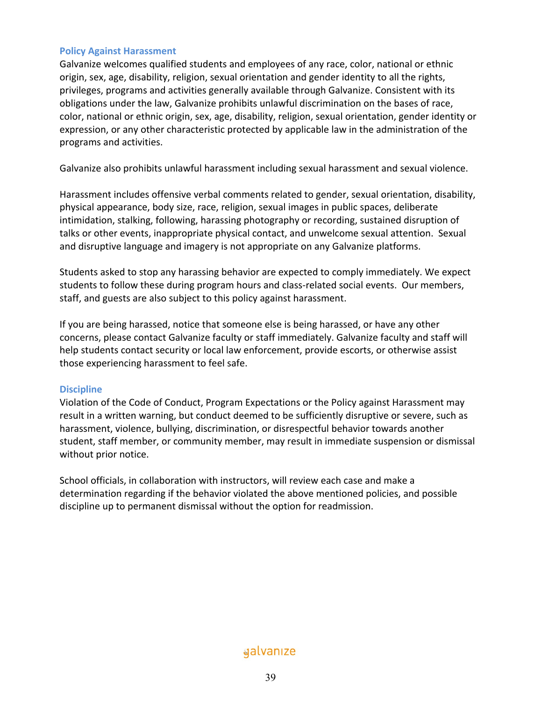#### **Policy Against Harassment**

Galvanize welcomes qualified students and employees of any race, color, national or ethnic origin, sex, age, disability, religion, sexual orientation and gender identity to all the rights, privileges, programs and activities generally available through Galvanize. Consistent with its obligations under the law, Galvanize prohibits unlawful discrimination on the bases of race, color, national or ethnic origin, sex, age, disability, religion, sexual orientation, gender identity or expression, or any other characteristic protected by applicable law in the administration of the programs and activities.

Galvanize also prohibits unlawful harassment including sexual harassment and sexual violence.

Harassment includes offensive verbal comments related to gender, sexual orientation, disability, physical appearance, body size, race, religion, sexual images in public spaces, deliberate intimidation, stalking, following, harassing photography or recording, sustained disruption of talks or other events, inappropriate physical contact, and unwelcome sexual attention. Sexual and disruptive language and imagery is not appropriate on any Galvanize platforms.

Students asked to stop any harassing behavior are expected to comply immediately. We expect students to follow these during program hours and class-related social events. Our members, staff, and guests are also subject to this policy against harassment.

If you are being harassed, notice that someone else is being harassed, or have any other concerns, please contact Galvanize faculty or staff immediately. Galvanize faculty and staff will help students contact security or local law enforcement, provide escorts, or otherwise assist those experiencing harassment to feel safe.

#### **Discipline**

Violation of the Code of Conduct, Program Expectations or the Policy against Harassment may result in a written warning, but conduct deemed to be sufficiently disruptive or severe, such as harassment, violence, bullying, discrimination, or disrespectful behavior towards another student, staff member, or community member, may result in immediate suspension or dismissal without prior notice.

School officials, in collaboration with instructors, will review each case and make a determination regarding if the behavior violated the above mentioned policies, and possible discipline up to permanent dismissal without the option for readmission.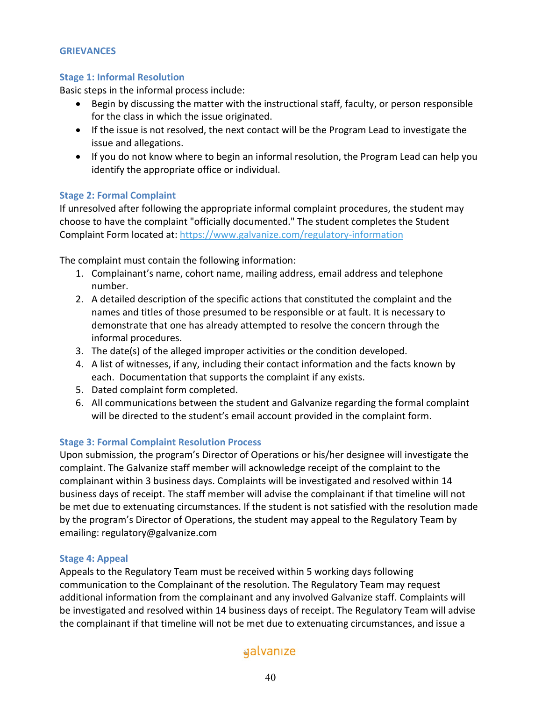## **GRIEVANCES**

## **Stage 1: Informal Resolution**

Basic steps in the informal process include:

- Begin by discussing the matter with the instructional staff, faculty, or person responsible for the class in which the issue originated.
- If the issue is not resolved, the next contact will be the Program Lead to investigate the issue and allegations.
- If you do not know where to begin an informal resolution, the Program Lead can help you identify the appropriate office or individual.

## **Stage 2: Formal Complaint**

If unresolved after following the appropriate informal complaint procedures, the student may choose to have the complaint "officially documented." The student completes the Student Complaint Form located at: https://www.galvanize.com/regulatory-information

The complaint must contain the following information:

- 1. Complainant's name, cohort name, mailing address, email address and telephone number.
- 2. A detailed description of the specific actions that constituted the complaint and the names and titles of those presumed to be responsible or at fault. It is necessary to demonstrate that one has already attempted to resolve the concern through the informal procedures.
- 3. The date(s) of the alleged improper activities or the condition developed.
- 4. A list of witnesses, if any, including their contact information and the facts known by each. Documentation that supports the complaint if any exists.
- 5. Dated complaint form completed.
- 6. All communications between the student and Galvanize regarding the formal complaint will be directed to the student's email account provided in the complaint form.

## **Stage 3: Formal Complaint Resolution Process**

Upon submission, the program's Director of Operations or his/her designee will investigate the complaint. The Galvanize staff member will acknowledge receipt of the complaint to the complainant within 3 business days. Complaints will be investigated and resolved within 14 business days of receipt. The staff member will advise the complainant if that timeline will not be met due to extenuating circumstances. If the student is not satisfied with the resolution made by the program's Director of Operations, the student may appeal to the Regulatory Team by emailing: regulatory@galvanize.com

#### **Stage 4: Appeal**

Appeals to the Regulatory Team must be received within 5 working days following communication to the Complainant of the resolution. The Regulatory Team may request additional information from the complainant and any involved Galvanize staff. Complaints will be investigated and resolved within 14 business days of receipt. The Regulatory Team will advise the complainant if that timeline will not be met due to extenuating circumstances, and issue a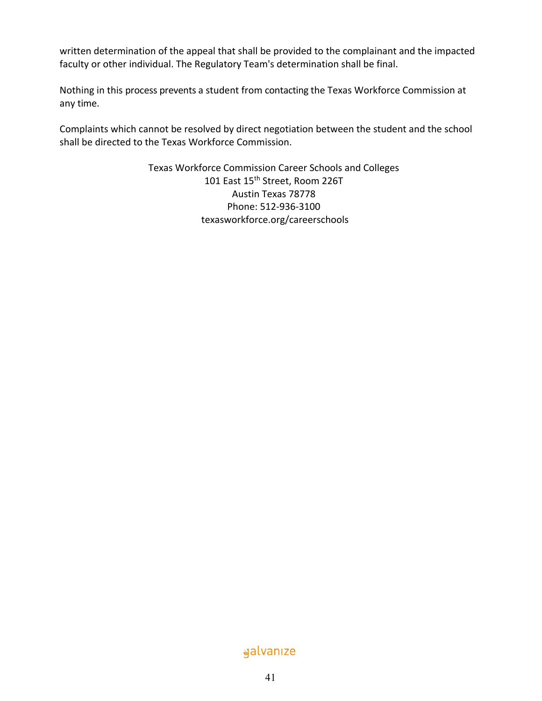written determination of the appeal that shall be provided to the complainant and the impacted faculty or other individual. The Regulatory Team's determination shall be final.

Nothing in this process prevents a student from contacting the Texas Workforce Commission at any time.

Complaints which cannot be resolved by direct negotiation between the student and the school shall be directed to the Texas Workforce Commission.

> Texas Workforce Commission Career Schools and Colleges 101 East 15<sup>th</sup> Street, Room 226T Austin Texas 78778 Phone: 512-936-3100 texasworkforce.org/careerschools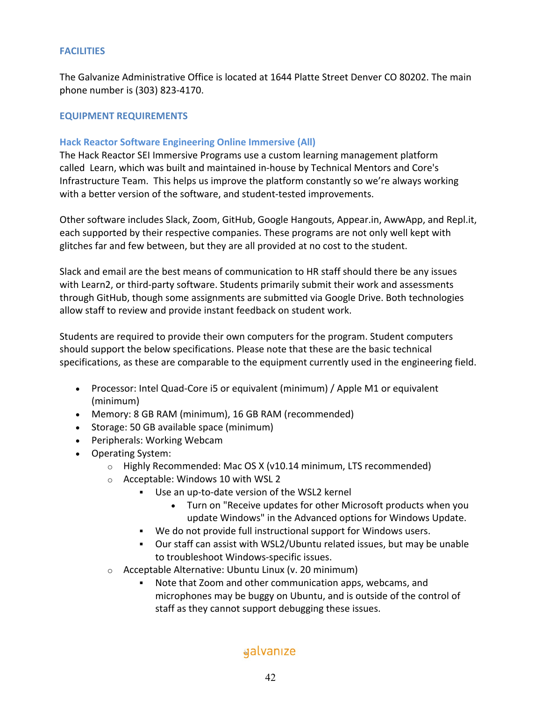## **FACILITIES**

The Galvanize Administrative Office is located at 1644 Platte Street Denver CO 80202. The main phone number is (303) 823-4170.

## **EQUIPMENT REQUIREMENTS**

## **Hack Reactor Software Engineering Online Immersive (All)**

The Hack Reactor SEI Immersive Programs use a custom learning management platform called Learn, which was built and maintained in-house by Technical Mentors and Core's Infrastructure Team. This helps us improve the platform constantly so we're always working with a better version of the software, and student-tested improvements.

Other software includes Slack, Zoom, GitHub, Google Hangouts, Appear.in, AwwApp, and Repl.it, each supported by their respective companies. These programs are not only well kept with glitches far and few between, but they are all provided at no cost to the student.

Slack and email are the best means of communication to HR staff should there be any issues with Learn2, or third-party software. Students primarily submit their work and assessments through GitHub, though some assignments are submitted via Google Drive. Both technologies allow staff to review and provide instant feedback on student work.

Students are required to provide their own computers for the program. Student computers should support the below specifications. Please note that these are the basic technical specifications, as these are comparable to the equipment currently used in the engineering field.

- Processor: Intel Quad-Core i5 or equivalent (minimum) / Apple M1 or equivalent (minimum)
- Memory: 8 GB RAM (minimum), 16 GB RAM (recommended)
- Storage: 50 GB available space (minimum)
- Peripherals: Working Webcam
- Operating System:
	- o Highly Recommended: Mac OS X (v10.14 minimum, LTS recommended)
	- o Acceptable: Windows 10 with WSL 2
		- § Use an up-to-date version of the WSL2 kernel
			- Turn on "Receive updates for other Microsoft products when you update Windows" in the Advanced options for Windows Update.
		- We do not provide full instructional support for Windows users.
		- § Our staff can assist with WSL2/Ubuntu related issues, but may be unable to troubleshoot Windows-specific issues.
	- o Acceptable Alternative: Ubuntu Linux (v. 20 minimum)
		- Note that Zoom and other communication apps, webcams, and microphones may be buggy on Ubuntu, and is outside of the control of staff as they cannot support debugging these issues.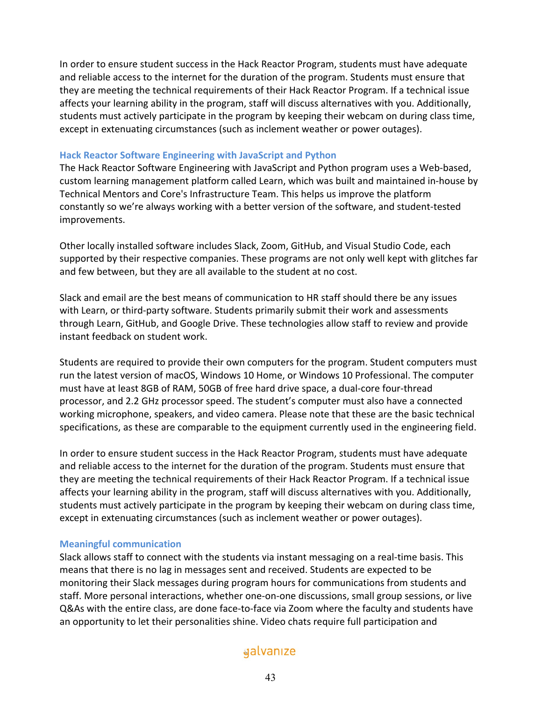In order to ensure student success in the Hack Reactor Program, students must have adequate and reliable access to the internet for the duration of the program. Students must ensure that they are meeting the technical requirements of their Hack Reactor Program. If a technical issue affects your learning ability in the program, staff will discuss alternatives with you. Additionally, students must actively participate in the program by keeping their webcam on during class time, except in extenuating circumstances (such as inclement weather or power outages).

#### **Hack Reactor Software Engineering with JavaScript and Python**

The Hack Reactor Software Engineering with JavaScript and Python program uses a Web-based, custom learning management platform called Learn, which was built and maintained in-house by Technical Mentors and Core's Infrastructure Team. This helps us improve the platform constantly so we're always working with a better version of the software, and student-tested improvements.

Other locally installed software includes Slack, Zoom, GitHub, and Visual Studio Code, each supported by their respective companies. These programs are not only well kept with glitches far and few between, but they are all available to the student at no cost.

Slack and email are the best means of communication to HR staff should there be any issues with Learn, or third-party software. Students primarily submit their work and assessments through Learn, GitHub, and Google Drive. These technologies allow staff to review and provide instant feedback on student work.

Students are required to provide their own computers for the program. Student computers must run the latest version of macOS, Windows 10 Home, or Windows 10 Professional. The computer must have at least 8GB of RAM, 50GB of free hard drive space, a dual-core four-thread processor, and 2.2 GHz processor speed. The student's computer must also have a connected working microphone, speakers, and video camera. Please note that these are the basic technical specifications, as these are comparable to the equipment currently used in the engineering field.

In order to ensure student success in the Hack Reactor Program, students must have adequate and reliable access to the internet for the duration of the program. Students must ensure that they are meeting the technical requirements of their Hack Reactor Program. If a technical issue affects your learning ability in the program, staff will discuss alternatives with you. Additionally, students must actively participate in the program by keeping their webcam on during class time, except in extenuating circumstances (such as inclement weather or power outages).

#### **Meaningful communication**

Slack allows staff to connect with the students via instant messaging on a real-time basis. This means that there is no lag in messages sent and received. Students are expected to be monitoring their Slack messages during program hours for communications from students and staff. More personal interactions, whether one-on-one discussions, small group sessions, or live Q&As with the entire class, are done face-to-face via Zoom where the faculty and students have an opportunity to let their personalities shine. Video chats require full participation and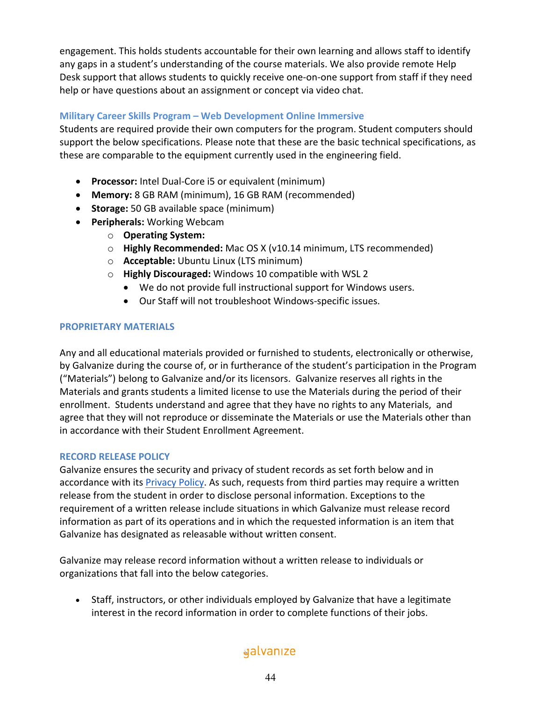engagement. This holds students accountable for their own learning and allows staff to identify any gaps in a student's understanding of the course materials. We also provide remote Help Desk support that allows students to quickly receive one-on-one support from staff if they need help or have questions about an assignment or concept via video chat.

## **Military Career Skills Program – Web Development Online Immersive**

Students are required provide their own computers for the program. Student computers should support the below specifications. Please note that these are the basic technical specifications, as these are comparable to the equipment currently used in the engineering field.

- **Processor:** Intel Dual-Core i5 or equivalent (minimum)
- **Memory:** 8 GB RAM (minimum), 16 GB RAM (recommended)
- **Storage:** 50 GB available space (minimum)
- **Peripherals:** Working Webcam
	- o **Operating System:**
	- o **Highly Recommended:** Mac OS X (v10.14 minimum, LTS recommended)
	- o **Acceptable:** Ubuntu Linux (LTS minimum)
	- o **Highly Discouraged:** Windows 10 compatible with WSL 2
		- We do not provide full instructional support for Windows users.
		- Our Staff will not troubleshoot Windows-specific issues.

## **PROPRIETARY MATERIALS**

Any and all educational materials provided or furnished to students, electronically or otherwise, by Galvanize during the course of, or in furtherance of the student's participation in the Program ("Materials") belong to Galvanize and/or its licensors. Galvanize reserves all rights in the Materials and grants students a limited license to use the Materials during the period of their enrollment. Students understand and agree that they have no rights to any Materials, and agree that they will not reproduce or disseminate the Materials or use the Materials other than in accordance with their Student Enrollment Agreement.

## **RECORD RELEASE POLICY**

Galvanize ensures the security and privacy of student records as set forth below and in accordance with its Privacy Policy. As such, requests from third parties may require a written release from the student in order to disclose personal information. Exceptions to the requirement of a written release include situations in which Galvanize must release record information as part of its operations and in which the requested information is an item that Galvanize has designated as releasable without written consent.

Galvanize may release record information without a written release to individuals or organizations that fall into the below categories.

• Staff, instructors, or other individuals employed by Galvanize that have a legitimate interest in the record information in order to complete functions of their jobs.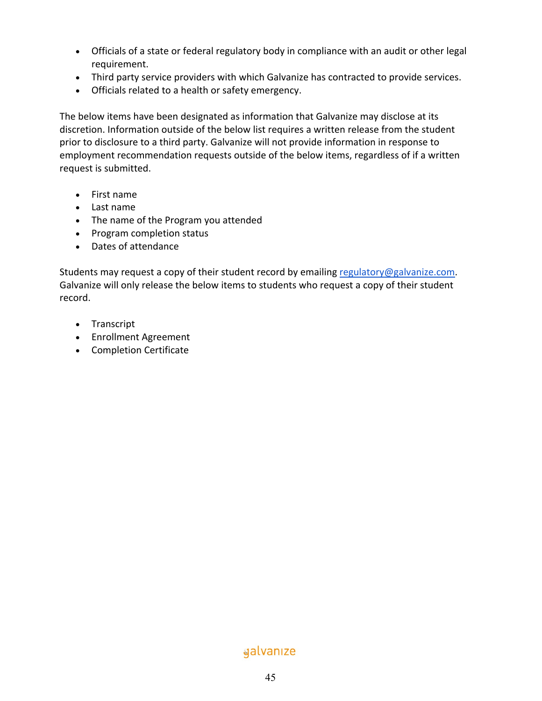- Officials of a state or federal regulatory body in compliance with an audit or other legal requirement.
- Third party service providers with which Galvanize has contracted to provide services.
- Officials related to a health or safety emergency.

The below items have been designated as information that Galvanize may disclose at its discretion. Information outside of the below list requires a written release from the student prior to disclosure to a third party. Galvanize will not provide information in response to employment recommendation requests outside of the below items, regardless of if a written request is submitted.

- First name
- Last name
- The name of the Program you attended
- Program completion status
- Dates of attendance

Students may request a copy of their student record by emailing regulatory@galvanize.com. Galvanize will only release the below items to students who request a copy of their student record.

- Transcript
- Enrollment Agreement
- Completion Certificate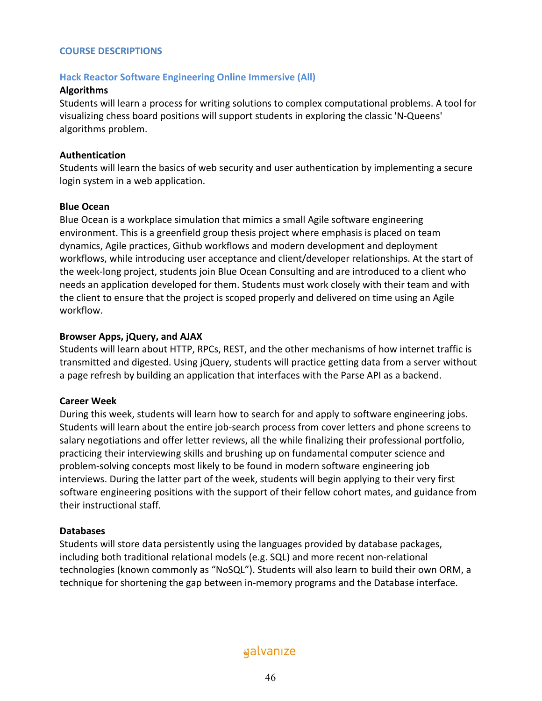#### **COURSE DESCRIPTIONS**

#### **Hack Reactor Software Engineering Online Immersive (All)**

#### **Algorithms**

Students will learn a process for writing solutions to complex computational problems. A tool for visualizing chess board positions will support students in exploring the classic 'N-Queens' algorithms problem.

#### **Authentication**

Students will learn the basics of web security and user authentication by implementing a secure login system in a web application.

#### **Blue Ocean**

Blue Ocean is a workplace simulation that mimics a small Agile software engineering environment. This is a greenfield group thesis project where emphasis is placed on team dynamics, Agile practices, Github workflows and modern development and deployment workflows, while introducing user acceptance and client/developer relationships. At the start of the week-long project, students join Blue Ocean Consulting and are introduced to a client who needs an application developed for them. Students must work closely with their team and with the client to ensure that the project is scoped properly and delivered on time using an Agile workflow.

#### **Browser Apps, jQuery, and AJAX**

Students will learn about HTTP, RPCs, REST, and the other mechanisms of how internet traffic is transmitted and digested. Using jQuery, students will practice getting data from a server without a page refresh by building an application that interfaces with the Parse API as a backend.

## **Career Week**

During this week, students will learn how to search for and apply to software engineering jobs. Students will learn about the entire job-search process from cover letters and phone screens to salary negotiations and offer letter reviews, all the while finalizing their professional portfolio, practicing their interviewing skills and brushing up on fundamental computer science and problem-solving concepts most likely to be found in modern software engineering job interviews. During the latter part of the week, students will begin applying to their very first software engineering positions with the support of their fellow cohort mates, and guidance from their instructional staff.

## **Databases**

Students will store data persistently using the languages provided by database packages, including both traditional relational models (e.g. SQL) and more recent non-relational technologies (known commonly as "NoSQL"). Students will also learn to build their own ORM, a technique for shortening the gap between in-memory programs and the Database interface.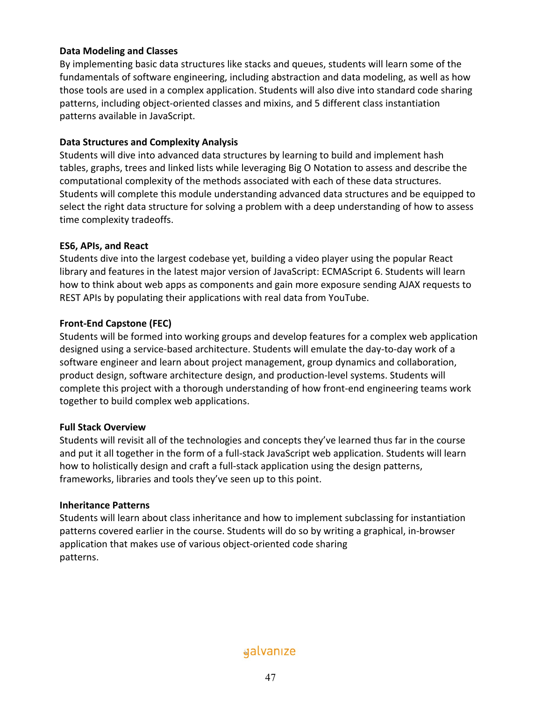## **Data Modeling and Classes**

By implementing basic data structures like stacks and queues, students will learn some of the fundamentals of software engineering, including abstraction and data modeling, as well as how those tools are used in a complex application. Students will also dive into standard code sharing patterns, including object-oriented classes and mixins, and 5 different class instantiation patterns available in JavaScript.

## **Data Structures and Complexity Analysis**

Students will dive into advanced data structures by learning to build and implement hash tables, graphs, trees and linked lists while leveraging Big O Notation to assess and describe the computational complexity of the methods associated with each of these data structures. Students will complete this module understanding advanced data structures and be equipped to select the right data structure for solving a problem with a deep understanding of how to assess time complexity tradeoffs.

## **ES6, APIs, and React**

Students dive into the largest codebase yet, building a video player using the popular React library and features in the latest major version of JavaScript: ECMAScript 6. Students will learn how to think about web apps as components and gain more exposure sending AJAX requests to REST APIs by populating their applications with real data from YouTube.

## **Front-End Capstone (FEC)**

Students will be formed into working groups and develop features for a complex web application designed using a service-based architecture. Students will emulate the day-to-day work of a software engineer and learn about project management, group dynamics and collaboration, product design, software architecture design, and production-level systems. Students will complete this project with a thorough understanding of how front-end engineering teams work together to build complex web applications.

## **Full Stack Overview**

Students will revisit all of the technologies and concepts they've learned thus far in the course and put it all together in the form of a full-stack JavaScript web application. Students will learn how to holistically design and craft a full-stack application using the design patterns, frameworks, libraries and tools they've seen up to this point.

## **Inheritance Patterns**

Students will learn about class inheritance and how to implement subclassing for instantiation patterns covered earlier in the course. Students will do so by writing a graphical, in-browser application that makes use of various object-oriented code sharing patterns.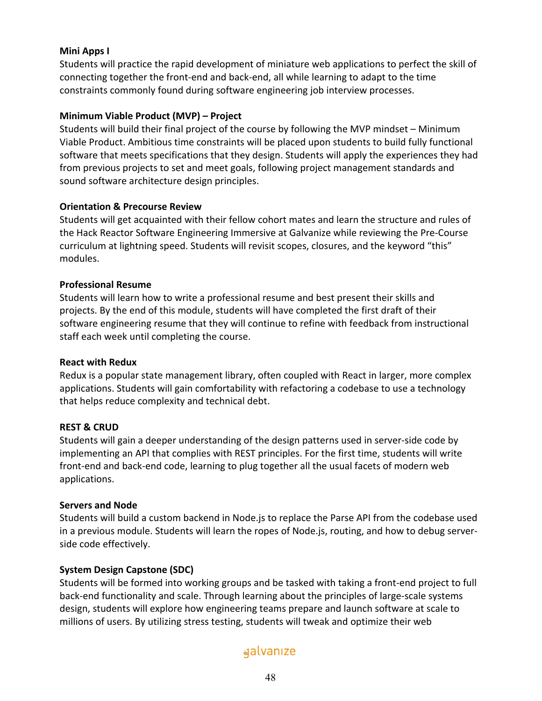## **Mini Apps I**

Students will practice the rapid development of miniature web applications to perfect the skill of connecting together the front-end and back-end, all while learning to adapt to the time constraints commonly found during software engineering job interview processes.

## **Minimum Viable Product (MVP) – Project**

Students will build their final project of the course by following the MVP mindset – Minimum Viable Product. Ambitious time constraints will be placed upon students to build fully functional software that meets specifications that they design. Students will apply the experiences they had from previous projects to set and meet goals, following project management standards and sound software architecture design principles.

## **Orientation & Precourse Review**

Students will get acquainted with their fellow cohort mates and learn the structure and rules of the Hack Reactor Software Engineering Immersive at Galvanize while reviewing the Pre-Course curriculum at lightning speed. Students will revisit scopes, closures, and the keyword "this" modules.

## **Professional Resume**

Students will learn how to write a professional resume and best present their skills and projects. By the end of this module, students will have completed the first draft of their software engineering resume that they will continue to refine with feedback from instructional staff each week until completing the course.

## **React with Redux**

Redux is a popular state management library, often coupled with React in larger, more complex applications. Students will gain comfortability with refactoring a codebase to use a technology that helps reduce complexity and technical debt.

## **REST & CRUD**

Students will gain a deeper understanding of the design patterns used in server-side code by implementing an API that complies with REST principles. For the first time, students will write front-end and back-end code, learning to plug together all the usual facets of modern web applications.

## **Servers and Node**

Students will build a custom backend in Node.js to replace the Parse API from the codebase used in a previous module. Students will learn the ropes of Node.js, routing, and how to debug serverside code effectively.

## **System Design Capstone (SDC)**

Students will be formed into working groups and be tasked with taking a front-end project to full back-end functionality and scale. Through learning about the principles of large-scale systems design, students will explore how engineering teams prepare and launch software at scale to millions of users. By utilizing stress testing, students will tweak and optimize their web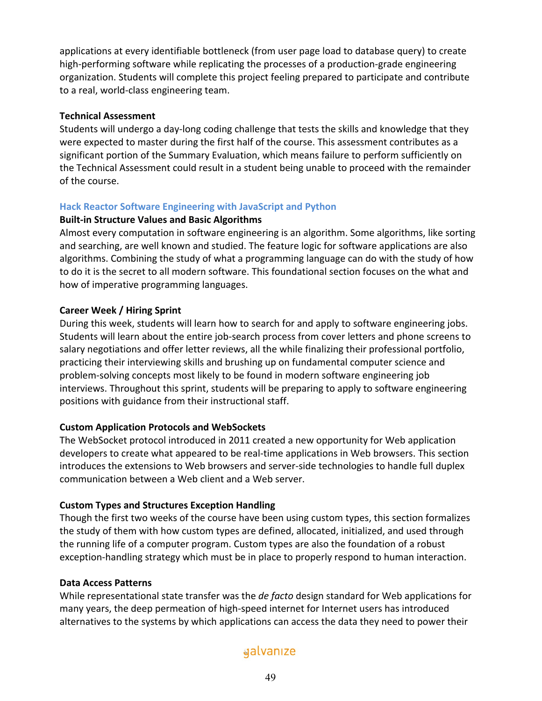applications at every identifiable bottleneck (from user page load to database query) to create high-performing software while replicating the processes of a production-grade engineering organization. Students will complete this project feeling prepared to participate and contribute to a real, world-class engineering team.

## **Technical Assessment**

Students will undergo a day-long coding challenge that tests the skills and knowledge that they were expected to master during the first half of the course. This assessment contributes as a significant portion of the Summary Evaluation, which means failure to perform sufficiently on the Technical Assessment could result in a student being unable to proceed with the remainder of the course.

## **Hack Reactor Software Engineering with JavaScript and Python**

#### **Built-in Structure Values and Basic Algorithms**

Almost every computation in software engineering is an algorithm. Some algorithms, like sorting and searching, are well known and studied. The feature logic for software applications are also algorithms. Combining the study of what a programming language can do with the study of how to do it is the secret to all modern software. This foundational section focuses on the what and how of imperative programming languages.

## **Career Week / Hiring Sprint**

During this week, students will learn how to search for and apply to software engineering jobs. Students will learn about the entire job-search process from cover letters and phone screens to salary negotiations and offer letter reviews, all the while finalizing their professional portfolio, practicing their interviewing skills and brushing up on fundamental computer science and problem-solving concepts most likely to be found in modern software engineering job interviews. Throughout this sprint, students will be preparing to apply to software engineering positions with guidance from their instructional staff.

## **Custom Application Protocols and WebSockets**

The WebSocket protocol introduced in 2011 created a new opportunity for Web application developers to create what appeared to be real-time applications in Web browsers. This section introduces the extensions to Web browsers and server-side technologies to handle full duplex communication between a Web client and a Web server.

## **Custom Types and Structures Exception Handling**

Though the first two weeks of the course have been using custom types, this section formalizes the study of them with how custom types are defined, allocated, initialized, and used through the running life of a computer program. Custom types are also the foundation of a robust exception-handling strategy which must be in place to properly respond to human interaction.

## **Data Access Patterns**

While representational state transfer was the *de facto* design standard for Web applications for many years, the deep permeation of high-speed internet for Internet users has introduced alternatives to the systems by which applications can access the data they need to power their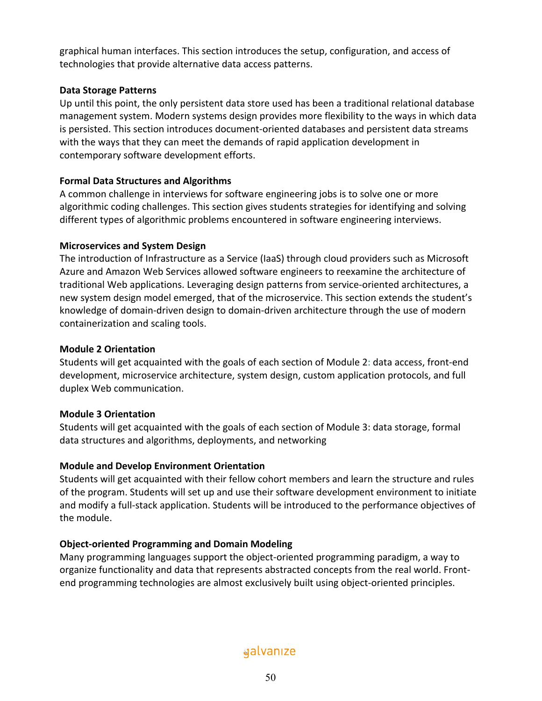graphical human interfaces. This section introduces the setup, configuration, and access of technologies that provide alternative data access patterns.

## **Data Storage Patterns**

Up until this point, the only persistent data store used has been a traditional relational database management system. Modern systems design provides more flexibility to the ways in which data is persisted. This section introduces document-oriented databases and persistent data streams with the ways that they can meet the demands of rapid application development in contemporary software development efforts.

## **Formal Data Structures and Algorithms**

A common challenge in interviews for software engineering jobs is to solve one or more algorithmic coding challenges. This section gives students strategies for identifying and solving different types of algorithmic problems encountered in software engineering interviews.

## **Microservices and System Design**

The introduction of Infrastructure as a Service (IaaS) through cloud providers such as Microsoft Azure and Amazon Web Services allowed software engineers to reexamine the architecture of traditional Web applications. Leveraging design patterns from service-oriented architectures, a new system design model emerged, that of the microservice. This section extends the student's knowledge of domain-driven design to domain-driven architecture through the use of modern containerization and scaling tools.

## **Module 2 Orientation**

Students will get acquainted with the goals of each section of Module 2: data access, front-end development, microservice architecture, system design, custom application protocols, and full duplex Web communication.

## **Module 3 Orientation**

Students will get acquainted with the goals of each section of Module 3: data storage, formal data structures and algorithms, deployments, and networking

## **Module and Develop Environment Orientation**

Students will get acquainted with their fellow cohort members and learn the structure and rules of the program. Students will set up and use their software development environment to initiate and modify a full-stack application. Students will be introduced to the performance objectives of the module.

## **Object-oriented Programming and Domain Modeling**

Many programming languages support the object-oriented programming paradigm, a way to organize functionality and data that represents abstracted concepts from the real world. Frontend programming technologies are almost exclusively built using object-oriented principles.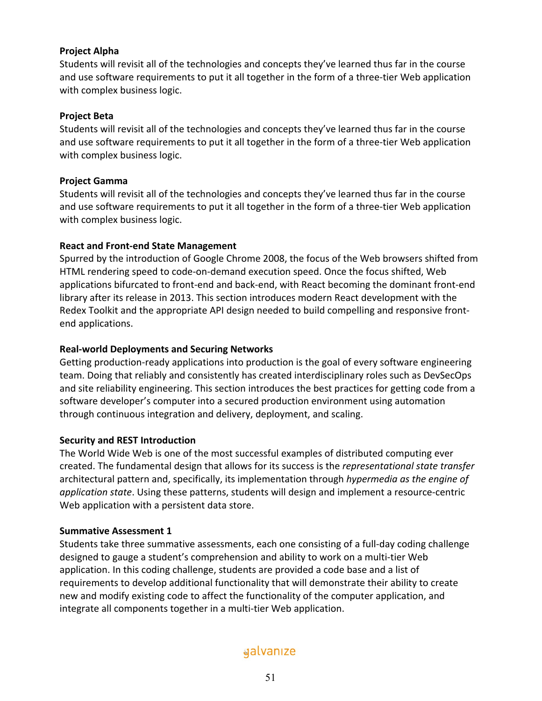## **Project Alpha**

Students will revisit all of the technologies and concepts they've learned thus far in the course and use software requirements to put it all together in the form of a three-tier Web application with complex business logic.

## **Project Beta**

Students will revisit all of the technologies and concepts they've learned thus far in the course and use software requirements to put it all together in the form of a three-tier Web application with complex business logic.

## **Project Gamma**

Students will revisit all of the technologies and concepts they've learned thus far in the course and use software requirements to put it all together in the form of a three-tier Web application with complex business logic.

## **React and Front-end State Management**

Spurred by the introduction of Google Chrome 2008, the focus of the Web browsers shifted from HTML rendering speed to code-on-demand execution speed. Once the focus shifted, Web applications bifurcated to front-end and back-end, with React becoming the dominant front-end library after its release in 2013. This section introduces modern React development with the Redex Toolkit and the appropriate API design needed to build compelling and responsive frontend applications.

## **Real-world Deployments and Securing Networks**

Getting production-ready applications into production is the goal of every software engineering team. Doing that reliably and consistently has created interdisciplinary roles such as DevSecOps and site reliability engineering. This section introduces the best practices for getting code from a software developer's computer into a secured production environment using automation through continuous integration and delivery, deployment, and scaling.

## **Security and REST Introduction**

The World Wide Web is one of the most successful examples of distributed computing ever created. The fundamental design that allows for its success is the *representational state transfer* architectural pattern and, specifically, its implementation through *hypermedia as the engine of application state*. Using these patterns, students will design and implement a resource-centric Web application with a persistent data store.

## **Summative Assessment 1**

Students take three summative assessments, each one consisting of a full-day coding challenge designed to gauge a student's comprehension and ability to work on a multi-tier Web application. In this coding challenge, students are provided a code base and a list of requirements to develop additional functionality that will demonstrate their ability to create new and modify existing code to affect the functionality of the computer application, and integrate all components together in a multi-tier Web application.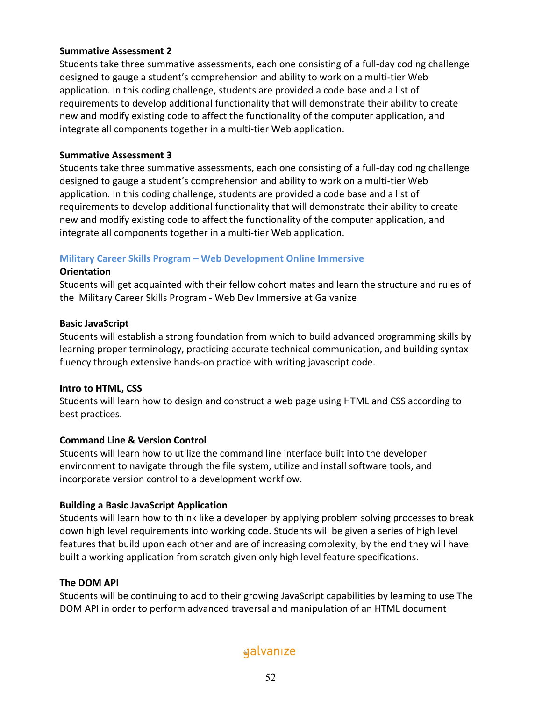## **Summative Assessment 2**

Students take three summative assessments, each one consisting of a full-day coding challenge designed to gauge a student's comprehension and ability to work on a multi-tier Web application. In this coding challenge, students are provided a code base and a list of requirements to develop additional functionality that will demonstrate their ability to create new and modify existing code to affect the functionality of the computer application, and integrate all components together in a multi-tier Web application.

## **Summative Assessment 3**

Students take three summative assessments, each one consisting of a full-day coding challenge designed to gauge a student's comprehension and ability to work on a multi-tier Web application. In this coding challenge, students are provided a code base and a list of requirements to develop additional functionality that will demonstrate their ability to create new and modify existing code to affect the functionality of the computer application, and integrate all components together in a multi-tier Web application.

## **Military Career Skills Program – Web Development Online Immersive**

## **Orientation**

Students will get acquainted with their fellow cohort mates and learn the structure and rules of the Military Career Skills Program - Web Dev Immersive at Galvanize

## **Basic JavaScript**

Students will establish a strong foundation from which to build advanced programming skills by learning proper terminology, practicing accurate technical communication, and building syntax fluency through extensive hands-on practice with writing javascript code.

## **Intro to HTML, CSS**

Students will learn how to design and construct a web page using HTML and CSS according to best practices.

## **Command Line & Version Control**

Students will learn how to utilize the command line interface built into the developer environment to navigate through the file system, utilize and install software tools, and incorporate version control to a development workflow.

## **Building a Basic JavaScript Application**

Students will learn how to think like a developer by applying problem solving processes to break down high level requirements into working code. Students will be given a series of high level features that build upon each other and are of increasing complexity, by the end they will have built a working application from scratch given only high level feature specifications.

## **The DOM API**

Students will be continuing to add to their growing JavaScript capabilities by learning to use The DOM API in order to perform advanced traversal and manipulation of an HTML document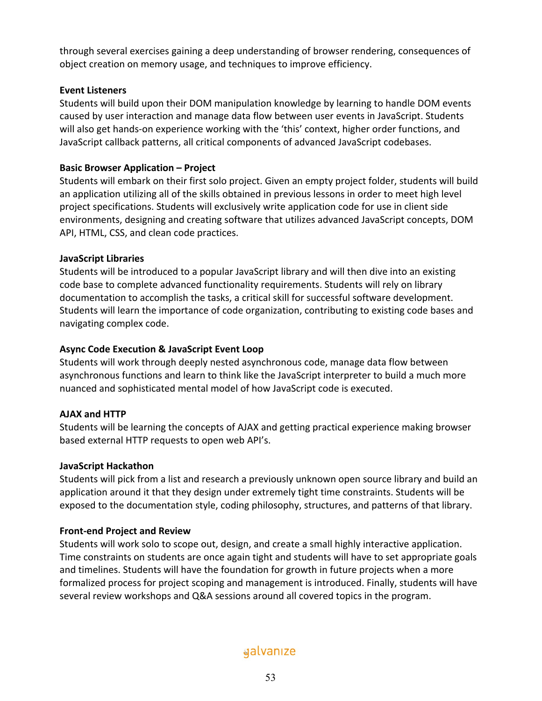through several exercises gaining a deep understanding of browser rendering, consequences of object creation on memory usage, and techniques to improve efficiency.

## **Event Listeners**

Students will build upon their DOM manipulation knowledge by learning to handle DOM events caused by user interaction and manage data flow between user events in JavaScript. Students will also get hands-on experience working with the 'this' context, higher order functions, and JavaScript callback patterns, all critical components of advanced JavaScript codebases.

## **Basic Browser Application – Project**

Students will embark on their first solo project. Given an empty project folder, students will build an application utilizing all of the skills obtained in previous lessons in order to meet high level project specifications. Students will exclusively write application code for use in client side environments, designing and creating software that utilizes advanced JavaScript concepts, DOM API, HTML, CSS, and clean code practices.

## **JavaScript Libraries**

Students will be introduced to a popular JavaScript library and will then dive into an existing code base to complete advanced functionality requirements. Students will rely on library documentation to accomplish the tasks, a critical skill for successful software development. Students will learn the importance of code organization, contributing to existing code bases and navigating complex code.

## **Async Code Execution & JavaScript Event Loop**

Students will work through deeply nested asynchronous code, manage data flow between asynchronous functions and learn to think like the JavaScript interpreter to build a much more nuanced and sophisticated mental model of how JavaScript code is executed.

## **AJAX and HTTP**

Students will be learning the concepts of AJAX and getting practical experience making browser based external HTTP requests to open web API's.

## **JavaScript Hackathon**

Students will pick from a list and research a previously unknown open source library and build an application around it that they design under extremely tight time constraints. Students will be exposed to the documentation style, coding philosophy, structures, and patterns of that library.

## **Front-end Project and Review**

Students will work solo to scope out, design, and create a small highly interactive application. Time constraints on students are once again tight and students will have to set appropriate goals and timelines. Students will have the foundation for growth in future projects when a more formalized process for project scoping and management is introduced. Finally, students will have several review workshops and Q&A sessions around all covered topics in the program.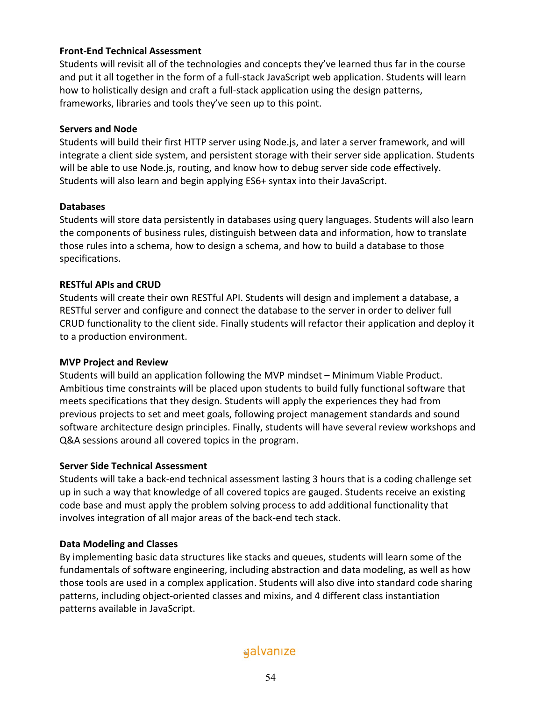## **Front-End Technical Assessment**

Students will revisit all of the technologies and concepts they've learned thus far in the course and put it all together in the form of a full-stack JavaScript web application. Students will learn how to holistically design and craft a full-stack application using the design patterns, frameworks, libraries and tools they've seen up to this point.

## **Servers and Node**

Students will build their first HTTP server using Node.js, and later a server framework, and will integrate a client side system, and persistent storage with their server side application. Students will be able to use Node.js, routing, and know how to debug server side code effectively. Students will also learn and begin applying ES6+ syntax into their JavaScript.

## **Databases**

Students will store data persistently in databases using query languages. Students will also learn the components of business rules, distinguish between data and information, how to translate those rules into a schema, how to design a schema, and how to build a database to those specifications.

## **RESTful APIs and CRUD**

Students will create their own RESTful API. Students will design and implement a database, a RESTful server and configure and connect the database to the server in order to deliver full CRUD functionality to the client side. Finally students will refactor their application and deploy it to a production environment.

## **MVP Project and Review**

Students will build an application following the MVP mindset – Minimum Viable Product. Ambitious time constraints will be placed upon students to build fully functional software that meets specifications that they design. Students will apply the experiences they had from previous projects to set and meet goals, following project management standards and sound software architecture design principles. Finally, students will have several review workshops and Q&A sessions around all covered topics in the program.

## **Server Side Technical Assessment**

Students will take a back-end technical assessment lasting 3 hours that is a coding challenge set up in such a way that knowledge of all covered topics are gauged. Students receive an existing code base and must apply the problem solving process to add additional functionality that involves integration of all major areas of the back-end tech stack.

## **Data Modeling and Classes**

By implementing basic data structures like stacks and queues, students will learn some of the fundamentals of software engineering, including abstraction and data modeling, as well as how those tools are used in a complex application. Students will also dive into standard code sharing patterns, including object-oriented classes and mixins, and 4 different class instantiation patterns available in JavaScript.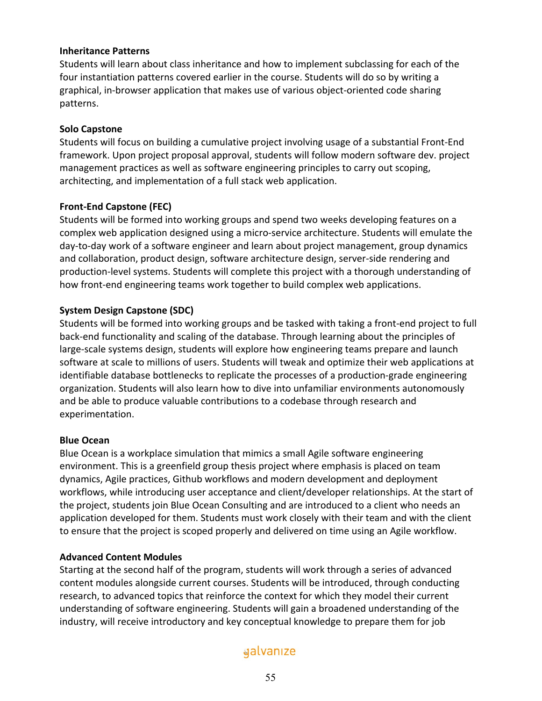## **Inheritance Patterns**

Students will learn about class inheritance and how to implement subclassing for each of the four instantiation patterns covered earlier in the course. Students will do so by writing a graphical, in-browser application that makes use of various object-oriented code sharing patterns.

## **Solo Capstone**

Students will focus on building a cumulative project involving usage of a substantial Front-End framework. Upon project proposal approval, students will follow modern software dev. project management practices as well as software engineering principles to carry out scoping, architecting, and implementation of a full stack web application.

## **Front-End Capstone (FEC)**

Students will be formed into working groups and spend two weeks developing features on a complex web application designed using a micro-service architecture. Students will emulate the day-to-day work of a software engineer and learn about project management, group dynamics and collaboration, product design, software architecture design, server-side rendering and production-level systems. Students will complete this project with a thorough understanding of how front-end engineering teams work together to build complex web applications.

## **System Design Capstone (SDC)**

Students will be formed into working groups and be tasked with taking a front-end project to full back-end functionality and scaling of the database. Through learning about the principles of large-scale systems design, students will explore how engineering teams prepare and launch software at scale to millions of users. Students will tweak and optimize their web applications at identifiable database bottlenecks to replicate the processes of a production-grade engineering organization. Students will also learn how to dive into unfamiliar environments autonomously and be able to produce valuable contributions to a codebase through research and experimentation.

## **Blue Ocean**

Blue Ocean is a workplace simulation that mimics a small Agile software engineering environment. This is a greenfield group thesis project where emphasis is placed on team dynamics, Agile practices, Github workflows and modern development and deployment workflows, while introducing user acceptance and client/developer relationships. At the start of the project, students join Blue Ocean Consulting and are introduced to a client who needs an application developed for them. Students must work closely with their team and with the client to ensure that the project is scoped properly and delivered on time using an Agile workflow.

## **Advanced Content Modules**

Starting at the second half of the program, students will work through a series of advanced content modules alongside current courses. Students will be introduced, through conducting research, to advanced topics that reinforce the context for which they model their current understanding of software engineering. Students will gain a broadened understanding of the industry, will receive introductory and key conceptual knowledge to prepare them for job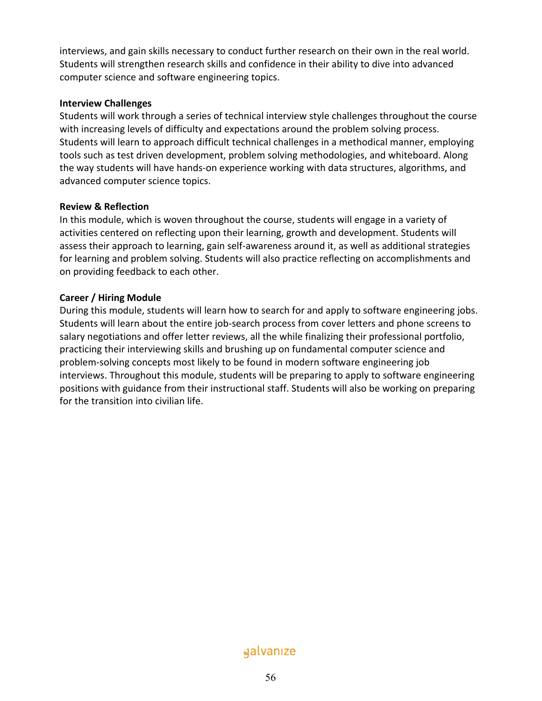interviews, and gain skills necessary to conduct further research on their own in the real world. Students will strengthen research skills and confidence in their ability to dive into advanced computer science and software engineering topics.

#### **Interview Challenges**

Students will work through a series of technical interview style challenges throughout the course with increasing levels of difficulty and expectations around the problem solving process. Students will learn to approach difficult technical challenges in a methodical manner, employing tools such as test driven development, problem solving methodologies, and whiteboard. Along the way students will have hands-on experience working with data structures, algorithms, and advanced computer science topics.

## **Review & Reflection**

In this module, which is woven throughout the course, students will engage in a variety of activities centered on reflecting upon their learning, growth and development. Students will assess their approach to learning, gain self-awareness around it, as well as additional strategies for learning and problem solving. Students will also practice reflecting on accomplishments and on providing feedback to each other.

## **Career / Hiring Module**

During this module, students will learn how to search for and apply to software engineering jobs. Students will learn about the entire job-search process from cover letters and phone screens to salary negotiations and offer letter reviews, all the while finalizing their professional portfolio, practicing their interviewing skills and brushing up on fundamental computer science and problem-solving concepts most likely to be found in modern software engineering job interviews. Throughout this module, students will be preparing to apply to software engineering positions with guidance from their instructional staff. Students will also be working on preparing for the transition into civilian life.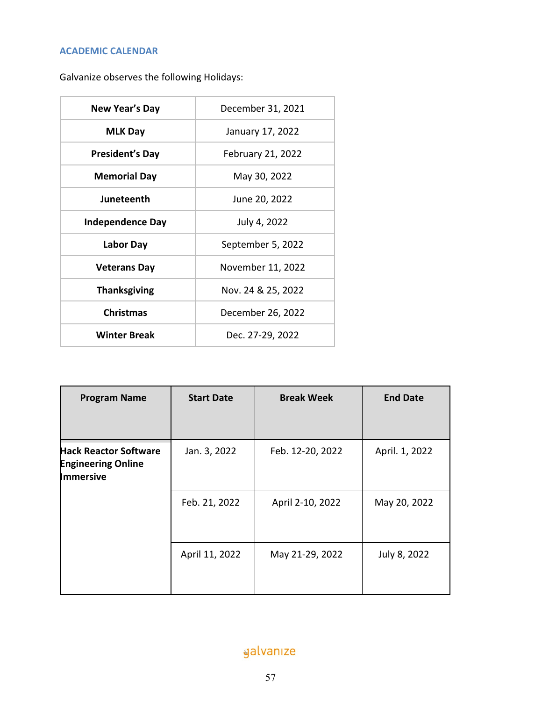## **ACADEMIC CALENDAR**

Galvanize observes the following Holidays:

| New Year's Day          | December 31, 2021        |
|-------------------------|--------------------------|
| <b>MLK Day</b>          | January 17, 2022         |
| <b>President's Day</b>  | <b>February 21, 2022</b> |
| <b>Memorial Day</b>     | May 30, 2022             |
| Juneteenth              | June 20, 2022            |
| <b>Independence Day</b> | July 4, 2022             |
| Labor Day               | September 5, 2022        |
| <b>Veterans Day</b>     | November 11, 2022        |
| <b>Thanksgiving</b>     | Nov. 24 & 25, 2022       |
| <b>Christmas</b>        | December 26, 2022        |
| <b>Winter Break</b>     | Dec. 27-29, 2022         |

| <b>Program Name</b>                                                           | <b>Start Date</b> | <b>Break Week</b> | <b>End Date</b> |
|-------------------------------------------------------------------------------|-------------------|-------------------|-----------------|
| <b>Hack Reactor Software</b><br><b>Engineering Online</b><br><b>Immersive</b> | Jan. 3, 2022      | Feb. 12-20, 2022  | April. 1, 2022  |
|                                                                               | Feb. 21, 2022     | April 2-10, 2022  | May 20, 2022    |
|                                                                               | April 11, 2022    | May 21-29, 2022   | July 8, 2022    |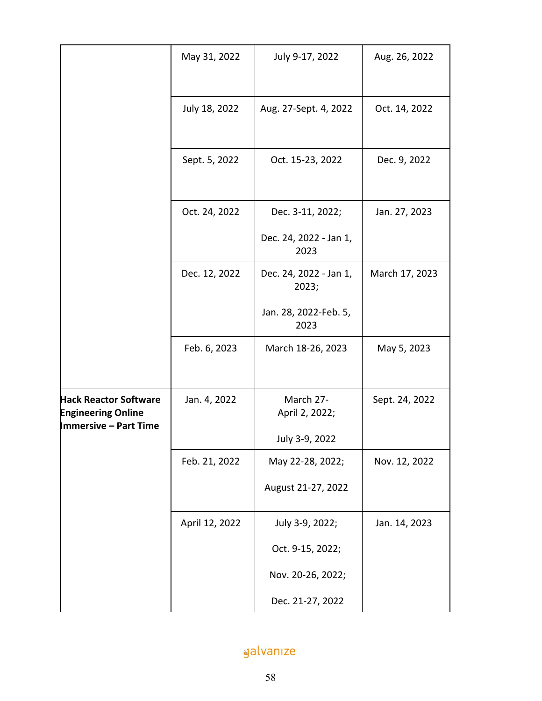|                                                                                           | May 31, 2022   | July 9-17, 2022                                    | Aug. 26, 2022  |
|-------------------------------------------------------------------------------------------|----------------|----------------------------------------------------|----------------|
|                                                                                           | July 18, 2022  | Aug. 27-Sept. 4, 2022                              | Oct. 14, 2022  |
|                                                                                           | Sept. 5, 2022  | Oct. 15-23, 2022                                   | Dec. 9, 2022   |
|                                                                                           | Oct. 24, 2022  | Dec. 3-11, 2022;<br>Dec. 24, 2022 - Jan 1,<br>2023 | Jan. 27, 2023  |
|                                                                                           | Dec. 12, 2022  | Dec. 24, 2022 - Jan 1,<br>2023;                    | March 17, 2023 |
|                                                                                           |                | Jan. 28, 2022-Feb. 5,<br>2023                      |                |
|                                                                                           | Feb. 6, 2023   | March 18-26, 2023                                  | May 5, 2023    |
| <b>Hack Reactor Software</b><br><b>Engineering Online</b><br><b>Immersive - Part Time</b> | Jan. 4, 2022   | March 27-<br>April 2, 2022;                        | Sept. 24, 2022 |
|                                                                                           |                | July 3-9, 2022                                     |                |
|                                                                                           | Feb. 21, 2022  | May 22-28, 2022;                                   | Nov. 12, 2022  |
|                                                                                           |                | August 21-27, 2022                                 |                |
|                                                                                           | April 12, 2022 | July 3-9, 2022;                                    | Jan. 14, 2023  |
|                                                                                           |                | Oct. 9-15, 2022;                                   |                |
|                                                                                           |                | Nov. 20-26, 2022;                                  |                |
|                                                                                           |                | Dec. 21-27, 2022                                   |                |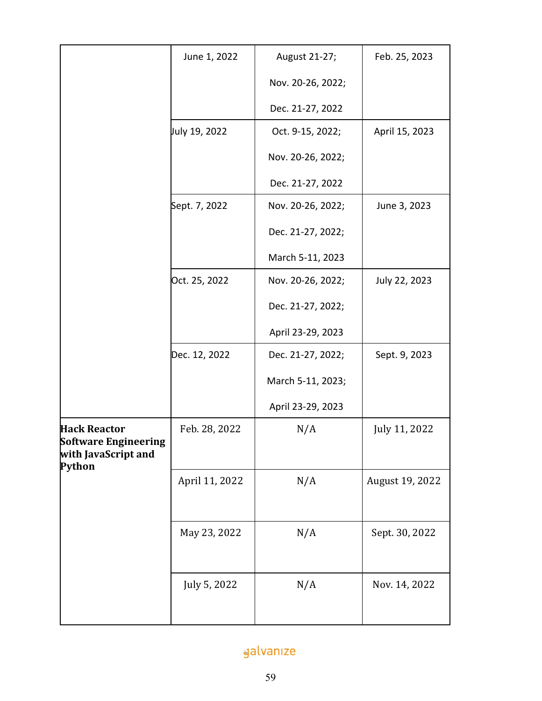|                                                                                     | June 1, 2022   | August 21-27;     | Feb. 25, 2023   |
|-------------------------------------------------------------------------------------|----------------|-------------------|-----------------|
|                                                                                     |                | Nov. 20-26, 2022; |                 |
|                                                                                     |                | Dec. 21-27, 2022  |                 |
|                                                                                     | July 19, 2022  | Oct. 9-15, 2022;  | April 15, 2023  |
|                                                                                     |                | Nov. 20-26, 2022; |                 |
|                                                                                     |                | Dec. 21-27, 2022  |                 |
|                                                                                     | Sept. 7, 2022  | Nov. 20-26, 2022; | June 3, 2023    |
|                                                                                     |                | Dec. 21-27, 2022; |                 |
|                                                                                     |                | March 5-11, 2023  |                 |
|                                                                                     | Oct. 25, 2022  | Nov. 20-26, 2022; | July 22, 2023   |
|                                                                                     |                | Dec. 21-27, 2022; |                 |
|                                                                                     |                | April 23-29, 2023 |                 |
|                                                                                     | Dec. 12, 2022  | Dec. 21-27, 2022; | Sept. 9, 2023   |
|                                                                                     |                | March 5-11, 2023; |                 |
|                                                                                     |                | April 23-29, 2023 |                 |
| <b>Hack Reactor</b><br><b>Software Engineering</b><br>with JavaScript and<br>Python | Feb. 28, 2022  | N/A               | July 11, 2022   |
|                                                                                     | April 11, 2022 | N/A               | August 19, 2022 |
|                                                                                     | May 23, 2022   | N/A               | Sept. 30, 2022  |
|                                                                                     | July 5, 2022   | N/A               | Nov. 14, 2022   |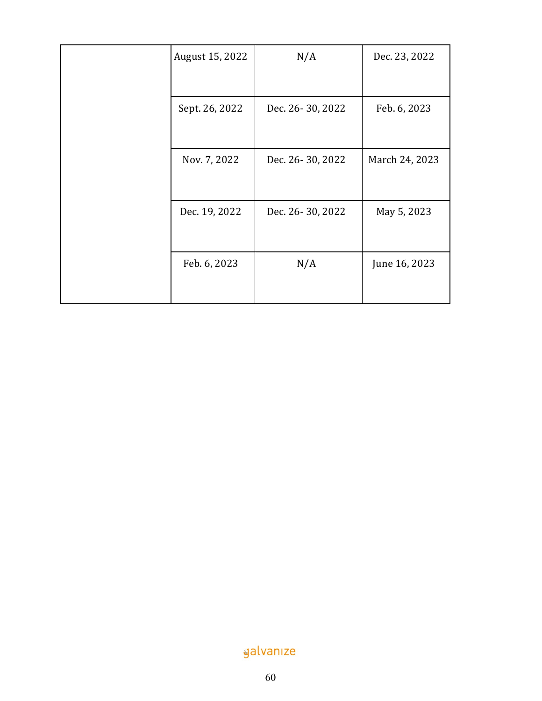| August 15, 2022 | N/A              | Dec. 23, 2022  |
|-----------------|------------------|----------------|
| Sept. 26, 2022  | Dec. 26-30, 2022 | Feb. 6, 2023   |
| Nov. 7, 2022    | Dec. 26-30, 2022 | March 24, 2023 |
| Dec. 19, 2022   | Dec. 26-30, 2022 | May 5, 2023    |
| Feb. 6, 2023    | N/A              | June 16, 2023  |